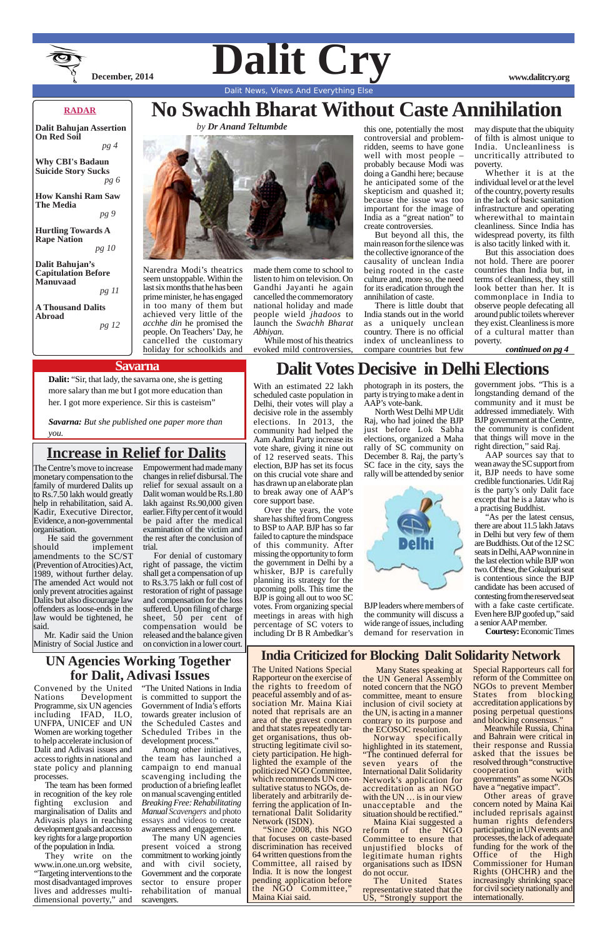

Dalit Cry www.dalitcry.org

# **No Swachh Bharat Without Caste Annihilation**

*by Dr Anand Teltumbde*



Dalit News, Views And Everything Else

#### **RADAR**

**Dalit Bahujan Assertion On Red Soil**  *pg 4*

**Why CBI's Badaun Suicide Story Sucks** *pg 6*

**How Kanshi Ram Saw The Media**

*pg 9*

**Hurtling Towards A Rape Nation**  *pg 10*

**Dalit Bahujan's Capitulation Before Manuvaad**

*pg 11*

**A Thousand Dalits Abroad**

*pg 12*

Narendra Modi's theatrics seem unstoppable. Within the last six months that he has been prime minister, he has engaged in too many of them but achieved very little of the *acchhe din* he promised the people. On Teachers' Day, he cancelled the customary holiday for schoolkids and

made them come to school to listen to him on television. On Gandhi Jayanti he again cancelled the commemoratory national holiday and made people wield *jhadoos* to launch the *Swachh Bharat Abhiyan*.

While most of his theatrics evoked mild controversies,

this one, potentially the most controversial and problemridden, seems to have gone well with most people – probably because Modi was doing a Gandhi here; because he anticipated some of the skepticism and quashed it; because the issue was too important for the image of India as a "great nation" to create controversies.

But beyond all this, the main reason for the silence was the collective ignorance of the causality of unclean India being rooted in the caste culture and, more so, the need for its eradication through the annihilation of caste.

There is little doubt that India stands out in the world as a uniquely unclean country. There is no official index of uncleanliness to compare countries but few

may dispute that the ubiquity of filth is almost unique to India. Uncleanliness is uncritically attributed to poverty.

Whether it is at the individual level or at the level of the country, poverty results in the lack of basic sanitation infrastructure and operating wherewithal to maintain cleanliness. Since India has widespread poverty, its filth is also tacitly linked with it.

The many UN agencies present voiced a strong commitment to working jointly and with civil society, Government and the corporate sector to ensure proper rehabilitation of manual scavengers.

But this association does not hold. There are poorer countries than India but, in terms of cleanliness, they still look better than her. It is commonplace in India to observe people defecating all around public toilets wherever they exist. Cleanliness is more of a cultural matter than poverty.

 *continued on pg 4*

#### **Savarna**

**Dalit:** "Sir, that lady, the savarna one, she is getting more salary than me but I got more education than her. I got more experience. Sir this is casteism"

*Savarna: But she published one paper more than you.*

**UN Agencies Working Together for Dalit, Adivasi Issues**

the rights to freedom of noted concern that the NGO Many States speaking at Special Rapporteurs call for the UN General Assembly committee, meant to ensure inclusion of civil society at the UN, is acting in a manner contrary to its purpose and the ECOSOC resolution. Norway specifically highlighted in its statement, "The continued deferral for seven years of the International Dalit Solidarity Network's application for accreditation as an NGO with the UN ... is in our view unacceptable and the situation should be rectified." Maina Kiai suggested a reform of the NGO Committee to ensure that unjustified blocks of legitimate human rights organisations such as IDSN do not occur. The United States representative stated that the US, "Strongly support the

Nations Development Programme, six UN agencies including IFAD, ILO, UNFPA, UNICEF and UN Women are working together to help accelerate inclusion of Dalit and Adivasi issues and access to rights in national and state policy and planning processes.

The team has been formed in recognition of the key role fighting exclusion and marginalisation of Dalits and Adivasis plays in reaching development goals and access to key rights for a large proportion of the population in India.

Convened by the United "The United Nations in India is committed to support the Government of India's efforts towards greater inclusion of the Scheduled Castes and Scheduled Tribes in the development process."

They write on the www.in.one.un.org website, "Targeting interventions to the most disadvantaged improves lives and addresses multidimensional poverty," and

Among other initiatives, the team has launched a campaign to end manual scavenging including the production of a briefing leaflet on manual scavenging entitled *Breaking Free: Rehabilitating Manual Scavengers* and photo essays and videos to create awareness and engagement.

The United Nations Special Rapporteur on the exercise of peaceful assembly and of association Mr. Maina Kiai noted that reprisals are an area of the gravest concern and that states repeatedly target organisations, thus obstructing legitimate civil society participation. He highlighted the example of the politicized NGO Committee, which recommends UN consultative status to NGOs, deliberately and arbitrarily deferring the application of International Dalit Solidarity Network (ISDN). "Since 2008, this NGO that focuses on caste-based discrimination has received 64 written questions from the Committee, all raised by India. It is now the longest pending application before the NGO Committee," Maina Kiai said.

## **India Criticized for Blocking Dalit Solidarity Network**

reform of the Committee on NGOs to prevent Member States from blocking accreditation applications by posing perpetual questions and blocking consensus." Meanwhile Russia, China and Bahrain were critical in their response and Russia asked that the issues be resolved through "constructive cooperation with governments" as some NGOs have a "negative impact". Other areas of grave concern noted by Maina Kai included reprisals against human rights defenders participating in UN events and processes, the lack of adequate funding for the work of the Office of the High Commissioner for Human Rights (OHCHR) and the increasingly shrinking space for civil society nationally and internationally.

The Centre's move to increase monetary compensation to the family of murdered Dalits up to Rs.7.50 lakh would greatly help in rehabilitation, said A. Kadir, Executive Director, Evidence, a non-governmental organisation.

 He said the government should implement amendments to the SC/ST (Prevention of Atrocities) Act, 1989, without further delay. The amended Act would not only prevent atrocities against Dalits but also discourage law offenders as loose-ends in the law would be tightened, he said.

Mr. Kadir said the Union Ministry of Social Justice and

# **Increase in Relief for Dalits**

Empowerment had made many changes in relief disbursal. The relief for sexual assault on a Dalit woman would be Rs.1.80 lakh against Rs.90,000 given earlier. Fifty per cent of it would be paid after the medical examination of the victim and the rest after the conclusion of trial.

For denial of customary right of passage, the victim shall get a compensation of up to Rs.3.75 lakh or full cost of restoration of right of passage and compensation for the loss suffered. Upon filing of charge sheet, 50 per cent of compensation would be released and the balance given on conviction in a lower court.

# **Dalit Votes Decisive in Delhi Elections**

With an estimated 22 lakh scheduled caste population in Delhi, their votes will play a decisive role in the assembly elections. In 2013, the community had helped the Aam Aadmi Party increase its vote share, giving it nine out of 12 reserved seats. This election, BJP has set its focus on this crucial vote share and has drawn up an elaborate plan to break away one of AAP's core support base.

Over the years, the vote share has shifted from Congress to BSP to AAP. BJP has so far failed to capture the mindspace of this community. After missing the opportunity to form the government in Delhi by a whisker, BJP is carefully planning its strategy for the upcoming polls. This time the BJP is going all out to woo SC votes. From organizing special meetings in areas with high percentage of SC voters to including Dr B R Ambedkar's photograph in its posters, the party is trying to make a dent in AAP's vote-bank.

North West Delhi MP Udit Raj, who had joined the BJP just before Lok Sabha elections, organized a Maha rally of SC community on December 8. Raj, the party's SC face in the city, says the rally will be attended by senior



BJP leaders where members of the community will discuss a wide range of issues, including demand for reservation in

government jobs. "This is a longstanding demand of the community and it must be addressed immediately. With BJP government at the Centre, the community is confident that things will move in the right direction,'' said Raj.

AAP sources say that to wean away the SC support from it, BJP needs to have some credible functionaries. Udit Raj is the party's only Dalit face except that he is a Jatav who is a practising Buddhist.

"As per the latest census, there are about 11.5 lakh Jatavs in Delhi but very few of them are Buddhists. Out of the 12 SC seats in Delhi, AAP won nine in the last election while BJP won two. Of these, the Gokulpuri seat is contentious since the BJP candidate has been accused of contesting from the reserved seat with a fake caste certificate. Even here BJP goofed up," said a senior AAP member.

**Courtesy:** Economic Times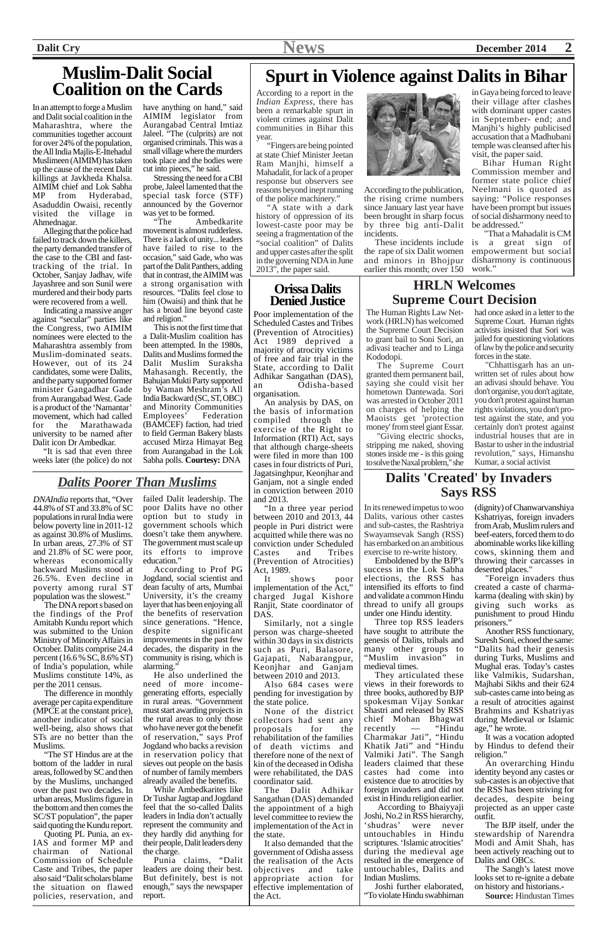*DNAIndia* reports that, "Over 44.8% of ST and 33.8% of SC populations in rural India were below poverty line in 2011-12 as against 30.8% of Muslims. In urban areas, 27.3% of ST and 21.8% of SC were poor, whereas economically backward Muslims stood at 26.5%. Even decline in poverty among rural ST population was the slowest."

The DNA report s based on the findings of the Prof Amitabh Kundu report which was submitted to the Union Ministry of Minority Affairs in October. Dalits comprise 24.4 percent (16.6 % SC, 8.6% ST) of India's population, while Muslims constitute 14%, as per the 2011 census.

The difference in monthly average per capita expenditure (MPCE at the constant price), another indicator of social well-being, also shows that STs are no better than the Muslims.

"The ST Hindus are at the bottom of the ladder in rural areas, followed by SC and then by the Muslims, unchanged over the past two decades. In urban areas, Muslims figure in the bottom and then comes the SC/ST population", the paper said quoting the Kundu report.

Quoting PL Punia, an ex-IAS and former MP and chairman of National Commission of Schedule Caste and Tribes, the paper also said "Dalit scholars blame the situation on flawed policies, reservation, and

failed Dalit leadership. The poor Dalits have no other option but to study in government schools which doesn't take them anywhere. The government must scale up its efforts to improve education."

According to Prof PG Jogdand, social scientist and dean faculty of arts, Mumbai University, it's the creamy layer that has been enjoying all the benefits of reservation since generations. "Hence, despite significant improvements in the past few decades, the disparity in the community is rising, which is alarming."

He also underlined the need of more incomegenerating efforts, especially in rural areas. "Government must start awarding projects in the rural areas to only those who have never got the benefit of reservation," says Prof Jogdand who backs a revision in reservation policy that sieves out people on the basis of number of family members

already availed the benefits. While Ambedkarites like Dr Tushar Jagtap and Jogdand feel that the so-called Dalits leaders in India don't actually represent the community and they hardly did anything for their people, Dalit leaders deny the charge.

Punia claims, "Dalit leaders are doing their best. But definitely, best is not enough," says the newspaper report.

## *Dalits Poorer Than Muslims*

## **Orissa Dalits Denied Justice**

Poor implementation of the Scheduled Castes and Tribes (Prevention of Atrocities) Act 1989 deprived a majority of atrocity victims of free and fair trial in the State, according to Dalit Adhikar Sangathan (DAS), an Odisha-based organisation.

An analysis by DAS, on the basis of information compiled through the exercise of the Right to Information (RTI) Act, says that although charge-sheets were filed in more than 100 cases in four districts of Puri, Jagatsinghpur, Keonjhar and Ganjam, not a single ended in conviction between 2010 and 2013.

"In a three year period between 2010 and 2013, 44 people in Puri district were acquitted while there was no conviction under Scheduled Castes and Tribes (Prevention of Atrocities) Act, 1989.

It shows poor implementation of the Act," charged Jugal Kishore Ranjit, State coordinator of DAS.

Similarly, not a single person was charge-sheeted within 30 days in six districts such as Puri, Balasore, Gajapati, Nabarangpur, Keonjhar and Ganjam between 2010 and 2013.

Also 684 cases were



pending for investigation by the state police.

None of the district collectors had sent any proposals for the rehabilitation of the families of death victims and therefore none of the next of kin of the deceased in Odisha were rehabilitated, the DAS coordinator said.

The Dalit Adhikar Sangathan (DAS) demanded the appointment of a high level committee to review the implementation of the Act in the state.

It also demanded that the government of Odisha assess the realisation of the Acts<br>objectives and take objectives and appropriate action for effective implementation of the Act.

In its renewed impetus to woo Dalits, various other castes and sub-castes, the Rashtriya Swayamsevak Sangh (RSS) has embarked on an ambitious exercise to re-write history.

Emboldened by the BJP's success in the Lok Sabha elections, the RSS has intensified its efforts to find and validate a common Hindu thread to unify all groups under one Hindu identity.

Three top RSS leaders have sought to attribute the genesis of Dalits, tribals and many other groups to "Muslim invasion" in medieval times.

They articulated these views in their forewords to three books, authored by BJP spokesman Vijay Sonkar Shastri and released by RSS chief Mohan Bhagwat<br>recently — "Hindu recently Charmakar Jati", "Hindu Khatik Jati" and "Hindu Valmiki Jati". The Sangh leaders claimed that these castes had come into existence due to atrocities by foreign invaders and did not exist in Hindu religion earlier. According to Bhaiyyaji Joshi, No.2 in RSS hierarchy,<br>'shudras' were never were never untouchables in Hindu scriptures. 'Islamic atrocities' during the medieval age resulted in the emergence of untouchables, Dalits and Indian Muslims. Joshi further elaborated, "To violate Hindu swabhiman

have anything on hand," said AIMIM legislator from Aurangabad Central Imtiaz Jaleel. "The (culprits) are not organised criminals. This was a small village where the murders took place and the bodies were cut into pieces," he said.

Stressing the need for a CBI probe, Jaleel lamented that the special task force (STF) announced by the Governor was yet to be formed.<br>
"The Ambe

# **Spurt in Violence against Dalits in Bihar**

Ambedkarite movement is almost rudderless. There is a lack of unity... leaders have failed to rise to the occasion," said Gade, who was part of the Dalit Panthers, adding that in contrast, the AIMIM was a strong organisation with resources. "Dalits feel close to him (Owaisi) and think that he has a broad line beyond caste and religion."

According to a report in the *Indian Express*, there has been a remarkable spurt in violent crimes against Dalit communities in Bihar this year.

"Fingers are being pointed at state Chief Minister Jeetan Ram Manjhi, himself a Mahadalit, for lack of a proper response but observers see reasons beyond inept running of the police machinery."

"A state with a dark history of oppression of its lowest-caste poor may be seeing a fragmentation of the "social coalition" of Dalits and upper castes after the split in the governing NDA in June 2013", the paper said.

According to the publication, the rising crime numbers since January last year have been brought in sharp focus by three big anti-Dalit incidents.

the rape of six Dalit women empowerment but social and minors in Bhojpur earlier this month; over 150

in Gaya being forced to leave their village after clashes with dominant upper castes in September- end; and Manjhi's highly publicised accusation that a Madhubani temple was cleansed after his visit, the paper said.

These incidents include is a great sign of "That a Mahadalit is CM disharmony is continuous work."

Bihar Human Right Commission member and former state police chief Neelmani is quoted as saying: "Police responses have been prompt but issues of social disharmony need to be addressed."

# **HRLN Welcomes Supreme Court Decision**

The Human Rights Law Network (HRLN) has welcomed the Supreme Court Decision to grant bail to Soni Sori, an adivasi teacher and to Linga Kododopi.

The Supreme Court granted them permanent bail, saying she could visit her hometown Dantewada. Sori was arrested in October 2011 on charges of helping the Maoists get 'protection money' from steel giant Essar.

"Giving electric shocks, stripping me naked, shoving stones inside me - is this going to solve the Naxal problem," she had once asked in a letter to the Supreme Court. Human rights activists insisted that Sori was jailed for questioning violations of law by the police and security forces in the state.

"Chhattisgarh has an unwritten set of rules about how an adivasi should behave. You don't organise, you don't agitate, you don't protest against human rights violations, you don't protest against the state, and you certainly don't protest against industrial houses that are in Bastar to usher in the industrial revolution," says, Himanshu Kumar, a social activist

# **Dalits 'Created' by Invaders Says RSS**

(dignity) of Chanwarvanshiya Kshatriyas, foreign invaders from Arab, Muslim rulers and beef-eaters, forced them to do abominable works like killing cows, skinning them and throwing their carcasses in deserted places."

"Foreign invaders thus created a caste of charmakarma (dealing with skin) by giving such works as punishment to proud Hindu prisoners."

Another RSS functionary, Suresh Soni, echoed the same: "Dalits had their genesis during Turks, Muslims and Mughal eras. Today's castes like Valmikis, Sudarshan, Majhabi Sikhs and their 624 sub-castes came into being as a result of atrocities against Brahmins and Kshatriyas during Medieval or Islamic age," he wrote. It was a vocation adopted by Hindus to defend their religion." An overarching Hindu identity beyond any castes or sub-castes is an objective that the RSS has been striving for decades, despite being projected as an upper caste outfit.

The BJP itself, under the stewardship of Narendra Modi and Amit Shah, has been actively reaching out to Dalits and OBCs.

The Sangh's latest move looks set to re-ignite a debate on history and historians.**-**

**Source:** Hindustan Times

# **Muslim-Dalit Social Coalition on the Cards**

In an attempt to forge a Muslim and Dalit social coalition in the Maharashtra, where the communities together account for over 24% of the population, the All India Majlis-E-Ittehadul Muslimeen (AIMIM) has taken up the cause of the recent Dalit killings at Javkheda Khalsa. AIMIM chief and Lok Sabha MP from Hyderabad, Asaduddin Owaisi, recently visited the village in Ahmednagar.

Alleging that the police had failed to track down the killers, the party demanded transfer of the case to the CBI and fasttracking of the trial. In October, Sanjay Jadhav, wife Jayashree and son Sunil were murdered and their body parts were recovered from a well.

Indicating a massive anger against "secular" parties like the Congress, two AIMIM nominees were elected to the Maharashtra assembly from Muslim-dominated seats. However, out of its 24 candidates, some were Dalits, and the party supported former minister Gangadhar Gade from Aurangabad West. Gade is a product of the 'Namantar' movement, which had called for the Marathawada university to be named after Dalit icon Dr Ambedkar.

"It is sad that even three weeks later (the police) do not

This is not the first time that a Dalit-Muslim coalition has been attempted. In the 1980s, Dalits and Muslims formed the Dalit Muslim Suraksha Mahasangh. Recently, the Bahujan Mukti Party supported by Waman Meshram's All India Backward (SC, ST, OBC) and Minority Communities<br>Employees' Federation Employees' (BAMCEF) faction, had tried to field German Bakery blasts accused Mirza Himayat Beg from Aurangabad in the Lok Sabha polls. **Courtesy:** DNA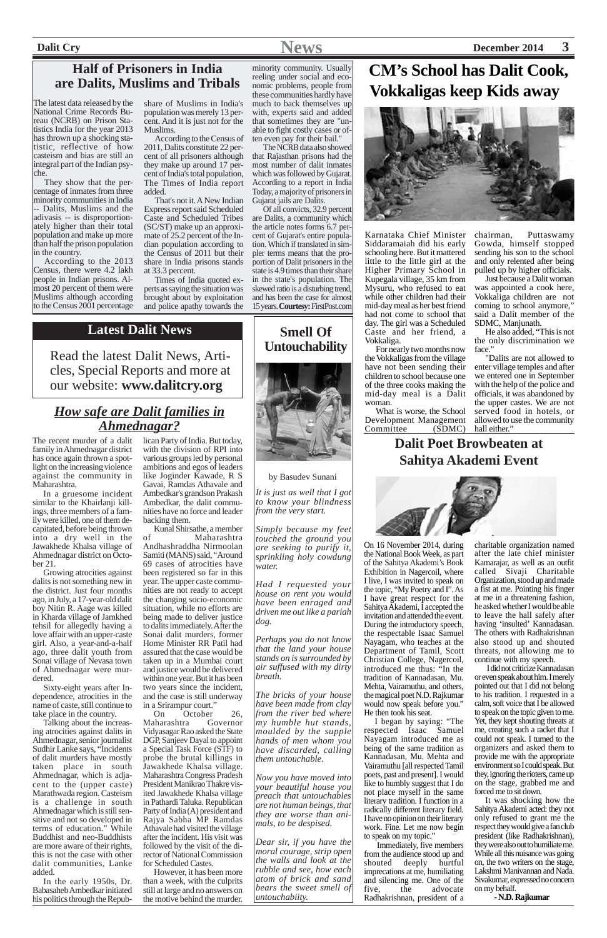

The latest data released by the National Crime Records Bureau (NCRB) on Prison Statistics India for the year 2013 has thrown up a shocking statistic, reflective of how casteism and bias are still an integral part of the Indian psyche.

They show that the percentage of inmates from three minority communities in India -- Dalits, Muslims and the adivasis -- is disproportionately higher than their total population and make up more than half the prison population in the country.

According to the 2013 Census, there were 4.2 lakh people in Indian prisons. Almost 20 percent of them were Muslims although according to the Census 2001 percentage share of Muslims in India's population was merely 13 percent. And it is just not for the Muslims.

According to the Census of 2011, Dalits constitute 22 percent of all prisoners although they make up around 17 percent of India's total population, The Times of India report added.

That's not it. A New Indian Express report said Scheduled Caste and Scheduled Tribes (SC/ST) make up an approximate of 25.2 percent of the Indian population according to the Census of 2011 but their share in India prisons stands at 33.3 percent.

# **are Dalits, Muslims and Tribals** monic problems, people from **EXALIAN SCHOOL has Dalit Cook, Vokkaligas keep Kids away**



Times of India quoted experts as saying the situation was brought about by exploitation and police apathy towards the

> What is worse, the School Development Management Committee

minority community. Usually reeling under social and economic problems, people from these communities hardly have much to back themselves up with, experts said and added that sometimes they are "unable to fight costly cases or often even pay for their bail."

> He also added, "This is not the only discrimination we face.'

The NCRB data also showed that Rajasthan prisons had the most number of dalit inmates which was followed by Gujarat. According to a report in India Today, a majority of prisoners in Gujarat jails are Dalits.

Of all convicts, 32.9 percent are Dalits, a community which the article notes forms 6.7 percent of Gujarat's entire population. Which if translated in simpler terms means that the proportion of Dalit prisoners in the state is 4.9 times than their share in the state's population. The skewed ratio is a disturbing trend, and has been the case for almost 15 years. **Courtesy:** FirstPost.com

# **Half of Prisoners in India**

Karnataka Chief Minister Siddaramaiah did his early schooling here. But it mattered little to the little girl at the Higher Primary School in Kupegala village, 35 km from Mysuru, who refused to eat while other children had their mid-day meal as her best friend had not come to school that day. The girl was a Scheduled Caste and her friend, a Vokkaliga.

For nearly two months now the Vokkaligas from the village have not been sending their children to school because one of the three cooks making the mid-day meal is a Dalit woman.

chairman, Puttaswamy Gowda, himself stopped sending his son to the school and only relented after being pulled up by higher officials.

Just because a Dalit woman was appointed a cook here, Vokkaliga children are not coming to school anymore," said a Dalit member of the SDMC, Manjunath.

"Dalits are not allowed to enter village temples and after we entered one in September with the help of the police and officials, it was abandoned by the upper castes. We are not served food in hotels, or allowed to use the community hall either."

# *How safe are Dalit families in Ahmednagar?*

The recent murder of a dalit family in Ahmednagar district has once again thrown a spotlight on the increasing violence against the community in Maharashtra.

In a gruesome incident similar to the Khairlanji killings, three members of a family were killed, one of them decapitated, before being thrown into a dry well in the Jawakhede Khalsa village of Ahmednagar district on October 21.

Growing atrocities against dalits is not something new in the district. Just four months ago, in July, a 17-year-old dalit boy Nitin R. Aage was killed in Kharda village of Jamkhed tehsil for allegedly having a love affair with an upper-caste girl. Also, a year-and-a-half ago, three dalit youth from Sonai village of Nevasa town of Ahmednagar were murdered.

Sixty-eight years after Independence, atrocities in the name of caste, still continue to take place in the country.

Talking about the increasing atrocities against dalits in Ahmednagar, senior journalist Sudhir Lanke says, "Incidents of dalit murders have mostly taken place in south Ahmednagar, which is adjacent to the (upper caste) Marathwada region. Casteism is a challenge in south Ahmednagar which is still sensitive and not so developed in terms of education." While Buddhist and neo-Buddhists are more aware of their rights, this is not the case with other dalit communities, Lanke added.

In the early 1950s, Dr. Babasaheb Ambedkar initiated his politics through the Republican Party of India. But today, with the division of RPI into various groups led by personal ambitions and egos of leaders like Joginder Kawade, R S Gavai, Ramdas Athavale and Ambedkar's grandson Prakash Ambedkar, the dalit communities have no force and leader backing them.

Kunal Shirsathe, a member of Maharashtra Andhashraddha Nirmoolan Samiti (MANS) said, "Around 69 cases of atrocities have been registered so far in this year. The upper caste communities are not ready to accept the changing socio-economic situation, while no efforts are being made to deliver justice to dalits immediately. After the Sonai dalit murders, former Home Minister RR Patil had assured that the case would be taken up in a Mumbai court and justice would be delivered within one year. But it has been two years since the incident, and the case is still underway in a Srirampur court." October 26,<br>ra Governor Maharashtra Vidyasagar Rao asked the State DGP, Sanjeev Dayal to appoint a Special Task Force (STF) to probe the brutal killings in Jawakhede Khalsa village. Maharashtra Congress Pradesh President Manikrao Thakre visited Jawakhede Khalsa village in Pathardi Taluka. Republican Party of India (A) president and Rajya Sabha MP Ramdas Athavale had visited the village after the incident. His visit was followed by the visit of the director of National Commission for Scheduled Castes.

However, it has been more than a week, with the culprits still at large and no answers on the motive behind the murder.

# **Latest Dalit News**

Read the latest Dalit News, Articles, Special Reports and more at our website: **www.dalitcry.org**

# **Smell Of Untouchability**



#### by Basudev Sunani

# **Dalit Poet Browbeaten at Sahitya Akademi Event**



On 16 November 2014, during the National Book Week, as part of the Sahitya Akademi's Book Exhibition in Nagercoil, where I live, I was invited to speak on the topic, "My Poetry and I". As I have great respect for the Sahitya Akademi, I accepted the invitation and attended the event. During the introductory speech, the respectable Isaac Samuel Nayagam, who teaches at the Department of Tamil, Scott Christian College, Nagercoil, introduced me thus: "In the tradition of Kannadasan, Mu. Mehta, Vairamuthu, and others,

the magical poet N.D. Rajkumar would now speak before you." He then took his seat.

I began by saying: "The respected Isaac Samuel Nayagam introduced me as being of the same tradition as Kannadasan, Mu. Mehta and Vairamuthu [all respected Tamil poets, past and present]. I would like to humbly suggest that I do not place myself in the same literary tradition. I function in a radically different literary field. I have no opinion on their literary work. Fine. Let me now begin to speak on my topic."

 Immediately, five members from the audience stood up and shouted deeply hurtful imprecations at me, humiliating and silencing me. One of the five, the advocate Radhakrishnan, president of a

charitable organization named after the late chief minister Kamarajar, as well as an outfit called Sivaji Charitable Organization, stood up and made a fist at me. Pointing his finger at me in a threatening fashion, he asked whether I would be able to leave the hall safely after having 'insulted' Kannadasan. The others with Radhakrishnan also stood up and shouted threats, not allowing me to continue with my speech.

I did not criticize Kannadasan or even speak about him. I merely pointed out that I did not belong to his tradition. I requested in a calm, soft voice that  $\hat{I}$  be allowed to speak on the topic given to me. Yet, they kept shouting threats at me, creating such a racket that I could not speak. I turned to the organizers and asked them to provide me with the appropriate environment so I could speak. But they, ignoring the rioters, came up on the stage, grabbed me and forced me to sit down. It was shocking how the Sahitya Akademi acted: they not only refused to grant me the respect they would give a fan club president (like Radhakrishnan), they were also out to humiliate me. While all this nuisance was going on, the two writers on the stage, Lakshmi Manivannan and Nada. Sivakumar, expressed no concern on my behalf.

 **- N.D. Rajkumar**

*It is just as well that I got to know your blindness from the very start.*

*Simply because my feet touched the ground you are seeking to purify it, sprinkling holy cowdung water.*

*Had I requested your house on rent you would have been enraged and driven me out like a pariah dog.*

*Perhaps you do not know that the land your house stands on is surrounded by air suffused with my dirty breath.*

*The bricks of your house have been made from clay from the river bed where my humble hut stands, moulded by the supple hands of men whom you have discarded, calling them untouchable.*

*Now you have moved into your beautiful house you preach that untouchables are not human beings, that they are worse than animals, to be despised.*

*Dear sir, if you have the moral courage, strip open the walls and look at the rubble and see, how each atom of brick and sand bears the sweet smell of untouchabiity.*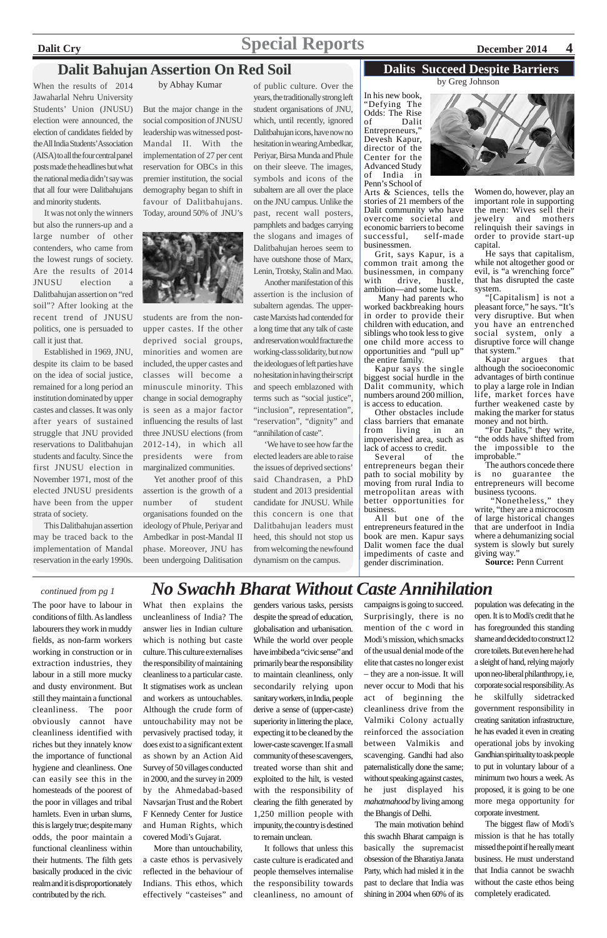# **Dalit Cry Special Reports December 2014** 4

The poor have to labour in conditions of filth. As landless labourers they work in muddy fields, as non-farm workers working in construction or in extraction industries, they labour in a still more mucky and dusty environment. But still they maintain a functional cleanliness. The poor obviously cannot have cleanliness identified with riches but they innately know the importance of functional hygiene and cleanliness. One can easily see this in the homesteads of the poorest of the poor in villages and tribal hamlets. Even in urban slums, this is largely true; despite many odds, the poor maintain a functional cleanliness within their hutments. The filth gets basically produced in the civic realm and it is disproportionately contributed by the rich.

What then explains the uncleanliness of India? The answer lies in Indian culture which is nothing but caste culture. This culture externalises the responsibility of maintaining cleanliness to a particular caste. It stigmatises work as unclean and workers as untouchables. Although the crude form of untouchability may not be pervasively practised today, it does exist to a significant extent as shown by an Action Aid Survey of 50 villages conducted in 2000, and the survey in 2009 by the Ahmedabad-based Navsarjan Trust and the Robert F Kennedy Center for Justice and Human Rights, which covered Modi's Gujarat. More than untouchability, a caste ethos is pervasively reflected in the behaviour of Indians. This ethos, which effectively "casteises" and genders various tasks, persists despite the spread of education, globalisation and urbanisation. While the world over people have imbibed a "civic sense" and primarily bear the responsibility to maintain cleanliness, only secondarily relying upon

sanitary workers, in India, people derive a sense of (upper-caste) superiority in littering the place, expecting it to be cleaned by the lower-caste scavenger. If a small community of these scavengers, treated worse than shit and exploited to the hilt, is vested with the responsibility of clearing the filth generated by 1,250 million people with impunity, the country is destined to remain unclean.

It follows that unless this caste culture is eradicated and people themselves internalise the responsibility towards cleanliness, no amount of campaigns is going to succeed. Surprisingly, there is no mention of the c word in Modi's mission, which smacks of the usual denial mode of the elite that castes no longer exist – they are a non-issue. It will never occur to Modi that his

act of beginning the cleanliness drive from the Valmiki Colony actually reinforced the association between Valmikis and scavenging. Gandhi had also paternalistically done the same; without speaking against castes, he just displayed his *mahatmahood* by living among the Bhangis of Delhi.

The main motivation behind this swachh Bharat campaign is basically the supremacist obsession of the Bharatiya Janata Party, which had misled it in the past to declare that India was shining in 2004 when 60% of its

Another manifestation of this assertion is the inclusion of subaltern agendas. The uppercaste Marxists had contended for a long time that any talk of caste and reservation would fracture the working-class solidarity, but now the ideologues of left parties have no hesitation in having their script and speech emblazoned with terms such as "social justice", "inclusion", representation", "reservation", "dignity" and "annihilation of caste".

> population was defecating in the open. It is to Modi's credit that he has foregrounded this standing shame and decided to construct 12 crore toilets. But even here he had a sleight of hand, relying majorly upon neo-liberal philanthropy, i e, corporate social responsibility. As he skilfully sidetracked government responsibility in creating sanitation infrastructure, he has evaded it even in creating operational jobs by invoking Gandhian spirituality to ask people to put in voluntary labour of a minimum two hours a week. As proposed, it is going to be one more mega opportunity for corporate investment. The biggest flaw of Modi's mission is that he has totally missed the point if he really meant business. He must understand that India cannot be swachh without the caste ethos being completely eradicated.

# *continued from pg 1 No Swachh Bharat Without Caste Annihilation*

# **Dalit Bahujan Assertion On Red Soil**

When the results of 2014 Jawaharlal Nehru University Students' Union (JNUSU) election were announced, the election of candidates fielded by the All India Students' Association (AISA) to all the four central panel posts made the headlines but what the national media didn't say was that all four were Dalitbahujans and minority students.

It was not only the winners but also the runners-up and a large number of other contenders, who came from the lowest rungs of society. Are the results of 2014 JNUSU election a Dalitbahujan assertion on "red soil"? After looking at the recent trend of JNUSU politics, one is persuaded to call it just that.

Established in 1969, JNU, despite its claim to be based on the idea of social justice, remained for a long period an institution dominated by upper castes and classes. It was only after years of sustained struggle that JNU provided reservations to Dalitbahujan students and faculty. Since the first JNUSU election in November 1971, most of the elected JNUSU presidents have been from the upper strata of society.

This Dalitbahujan assertion may be traced back to the implementation of Mandal reservation in the early 1990s.

But the major change in the social composition of JNUSU leadership was witnessed post-Mandal II. With the implementation of 27 per cent reservation for OBCs in this premier institution, the social demography began to shift in favour of Dalitbahujans. Today, around 50% of JNU's



students are from the nonupper castes. If the other deprived social groups, minorities and women are included, the upper castes and classes will become a minuscule minority. This change in social demography is seen as a major factor influencing the results of last three JNUSU elections (from 2012-14), in which all presidents were from marginalized communities.

Yet another proof of this assertion is the growth of a number of student organisations founded on the ideology of Phule, Periyar and Ambedkar in post-Mandal II phase. Moreover, JNU has been undergoing Dalitisation

of public culture. Over the years, the traditionally strong left student organisations of JNU, which, until recently, ignored Dalitbahujan icons, have now no hesitation in wearing Ambedkar, Periyar, Birsa Munda and Phule on their sleeve. The images, symbols and icons of the subaltern are all over the place on the JNU campus. Unlike the past, recent wall posters, pamphlets and badges carrying the slogans and images of Dalitbahujan heroes seem to have outshone those of Marx, Lenin, Trotsky, Stalin and Mao.

'We have to see how far the elected leaders are able to raise the issues of deprived sections' said Chandrasen, a PhD student and 2013 presidential candidate for JNUSU. While this concern is one that Dalitbahujan leaders must heed, this should not stop us from welcoming the newfound dynamism on the campus.

#### by Abhay Kumar

In his new book, "Defying The Odds: The Rise of Dalit Entrepreneurs," Devesh Kapur, director of the Center for the Advanced Study of India in Penn's School of

Arts & Sciences, tells the stories of 21 members of the Dalit community who have overcome societal and economic barriers to become successful, self-made businessmen.

Grit, says Kapur, is a common trait among the businessmen, in company with drive, hustle, ambition—and some luck.

 Many had parents who worked backbreaking hours in order to provide their children with education, and siblings who took less to give one child more access to opportunities and "pull up" the entire family.

Kapur says the single biggest social hurdle in the Dalit community, which numbers around 200 million, is access to education.

Other obstacles include class barriers that emanate from living in an impoverished area, such as lack of access to credit.

Several of the entrepreneurs began their path to social mobility by moving from rural India to metropolitan areas with better opportunities for business.

All but one of the entrepreneurs featured in the book are men. Kapur says Dalit women face the dual impediments of caste and gender discrimination.



Women do, however, play an important role in supporting the men: Wives sell their jewelry and mothers relinquish their savings in order to provide start-up capital.

He says that capitalism, while not altogether good or evil, is "a wrenching force" that has disrupted the caste system.

"[Capitalism] is not a pleasant force," he says. "It's very disruptive. But when you have an entrenched social system, only a disruptive force will change that system."

Kapur argues that although the socioeconomic advantages of birth continue to play a large role in Indian life, market forces have further weakened caste by making the marker for status money and not birth.

"For Dalits," they write, "the odds have shifted from the impossible to the improbable."

The authors concede there is no guarantee the entrepreneurs will become business tycoons.

 "Nonetheless," they write, "they are a microcosm of large historical changes that are underfoot in India where a dehumanizing social system is slowly but surely giving way."

**Source:** Penn Current

by Greg Johnson

#### **Dalits Succeed Despite Barriers**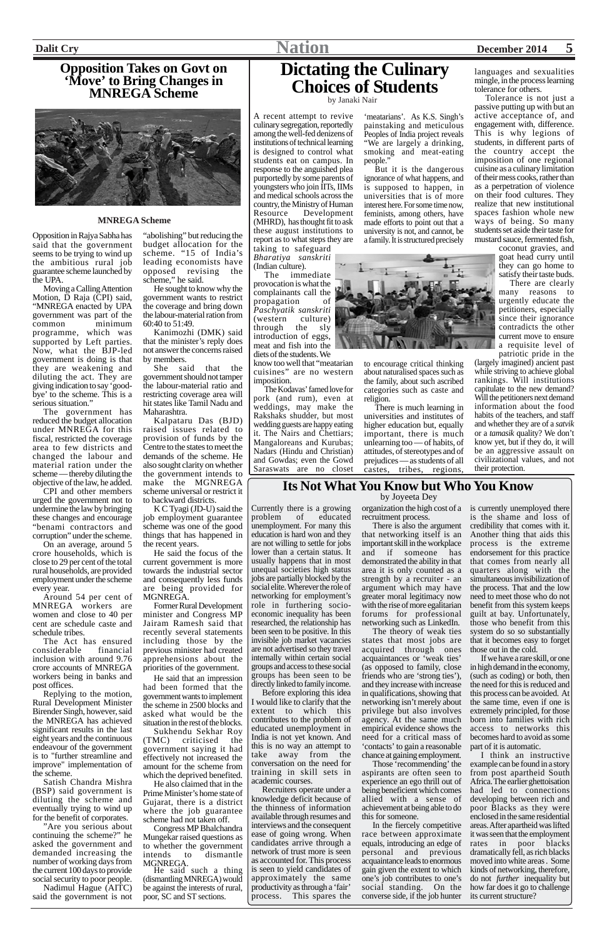# **Dictating the Culinary Choices of Students** by Janaki Nair

people."

A recent attempt to revive culinary segregation, reportedly among the well-fed denizens of institutions of technical learning is designed to control what students eat on campus. In response to the anguished plea purportedly by some parents of youngsters who join IITs, IIMs and medical schools across the country, the Ministry of Human Resource Development (MHRD), has thought fit to ask these august institutions to report as to what steps they are

taking to safeguard *Bharatiya sanskriti* (Indian culture).

The immediate provocation is what the complainants call the propagation of *Paschyatik sanskriti* (western culture) through the sly introduction of eggs, meat and fish into the diets of the students. We

know too well that "meatarian cuisines" are no western imposition.

The Kodavas' famed love for pork (and rum), even at weddings, may make the Rakshaks shudder, but most wedding guests are happy eating it. The Nairs and Chettiars; Mangaloreans and Kurubas; Nadars (Hindu and Christian) and Gowdas; even the Gowd Saraswats are no closet



'meatarians'. As K.S. Singh's painstaking and meticulous Peoples of India project reveals "We are largely a drinking, smoking and meat-eating

But it is the dangerous ignorance of what happens, and is supposed to happen, in universities that is of more interest here. For some time now, feminists, among others, have made efforts to point out that a university is not, and cannot, be a family. It is structured precisely

to encourage critical thinking about naturalised spaces such as the family, about such ascribed categories such as caste and religion.

There is much learning in universities and institutes of higher education but, equally important, there is much unlearning too — of habits, of attitudes, of stereotypes and of prejudices — as students of all castes, tribes, regions,

languages and sexualities mingle, in the process learning tolerance for others.

Tolerance is not just a passive putting up with but an active acceptance of, and engagement with, difference. This is why legions of students, in different parts of the country accept the imposition of one regional cuisine as a culinary limitation of their mess cooks, rather than as a perpetration of violence on their food cultures. They realize that new institutional spaces fashion whole new ways of being. So many students set aside their taste for mustard sauce, fermented fish,

coconut gravies, and goat head curry until they can go home to satisfy their taste buds.

"abolishing" but reducing the budget allocation for the scheme. "15 of India's leading economists have opposed revising the scheme," he said.

There are clearly many reasons to urgently educate the petitioners, especially since their ignorance contradicts the other current move to ensure a requisite level of patriotic pride in the

(largely imagined) ancient past while striving to achieve global rankings. Will institutions capitulate to the new demand? Will the petitioners next demand information about the food habits of the teachers, and staff and whether they are of a *satvik* or a *tamasik* quality? We don't know yet, but if they do, it will be an aggressive assault on civilizational values, and not their protection.

Opposition in Rajya Sabha has said that the government seems to be trying to wind up the ambitious rural job guarantee scheme launched by the UPA.

Moving a Calling Attention Motion, D Raja (CPI) said, "MNREGA enacted by UPA government was part of the common minimum programme, which was supported by Left parties. Now, what the BJP-led government is doing is that they are weakening and diluting the act. They are giving indication to say 'goodbye' to the scheme. This is a serious situation."

The government has reduced the budget allocation under MNREGA for this fiscal, restricted the coverage area to few districts and changed the labour and material ration under the scheme — thereby diluting the objective of the law, he added.

CPI and other members urged the government not to undermine the law by bringing these changes and encourage "benami contractors and corruption" under the scheme.

On an average, around 5 crore households, which is close to 29 per cent of the total rural households, are provided employment under the scheme every year.

Around 54 per cent of MNREGA workers are women and close to 40 per cent are schedule caste and schedule tribes.

The Act has ensured considerable financial inclusion with around 9.76 crore accounts of MNREGA workers being in banks and post offices.

Replying to the motion, Rural Development Minister Birender Singh, however, said the MNREGA has achieved significant results in the last eight years and the continuous endeavour of the government is to "further streamline and improve" implementation of the scheme.

Satish Chandra Mishra (BSP) said government is diluting the scheme and eventually trying to wind up for the benefit of corporates.

"Are you serious about continuing the scheme?" he asked the government and demanded increasing the number of working days from the current 100 days to provide social security to poor people.

Nadimul Hague (AITC) said the government is not

## **Opposition Takes on Govt on 'Move' to Bring Changes in MNREGA Scheme**



He sought to know why the government wants to restrict the coverage and bring down the labour-material ration from 60:40 to 51:49.

Kanimozhi (DMK) said that the minister's reply does not answer the concerns raised by members.

She said that the government should not tamper the labour-material ratio and restricting coverage area will hit states like Tamil Nadu and Maharashtra.

Kalpataru Das (BJD) raised issues related to provision of funds by the Centre to the states to meet the demands of the scheme. He also sought clarity on whether the government intends to make the MGNREGA scheme universal or restrict it to backward districts.

K C Tyagi (JD-U) said the job employment guarantee scheme was one of the good things that has happened in the recent years.

He said the focus of the current government is more towards the industrial sector and consequently less funds are being provided for MGNREGA.

Former Rural Development minister and Congress MP Jairam Ramesh said that recently several statements including those by the previous minister had created apprehensions about the priorities of the government.

He said that an impression d been formed that the government wants to implement the scheme in 2500 blocks and asked what would be the situation in the rest of the blocks. Sukhendu Sekhar Roy<br>(TMC) criticised the criticised the government saying it had effectively not increased the amount for the scheme from which the deprived benefited. He also claimed that in the Prime Minister's home state of Gujarat, there is a district where the job guarantee scheme had not taken off. Congress MP Bhalchandra Mungekar raised questions as to whether the government intends to dismantle MGNREGA. He said such a thing (dismantling MNREGA) would be against the interests of rural, poor, SC and ST sections.

#### **MNREGA Scheme**

## **Its Not What You Know but Who You Know**

Currently there is a growing problem of educated unemployment. For many this education is hard won and they are not willing to settle for jobs lower than a certain status. It usually happens that in most unequal societies high status jobs are partially blocked by the social elite. Wherever the role of networking for employment's role in furthering socioeconomic inequality has been researched, the relationship has been seen to be positive. In this invisible job market vacancies are not advertised so they travel internally within certain social groups and access to these social groups has been seen to be

directly linked to family income. Before exploring this idea I would like to clarify that the extent to which this contributes to the problem of educated unemployment in India is not yet known. And this is no way an attempt to take away from the conversation on the need for training in skill sets in academic courses.

Recruiters operate under a knowledge deficit because of the thinness of information available through resumes and interviews and the consequent ease of going wrong. When candidates arrive through a network of trust more is seen as accounted for. This process is seen to yield candidates of approximately the same productivity as through a 'fair' process. This spares the

organization the high cost of a is currently unemployed there recruitment process.

There is also the argument that networking itself is an important skill in the workplace and if someone has demonstrated the ability in that area it is only counted as a strength by a recruiter - an argument which may have greater moral legitimacy now with the rise of more egalitarian forums for professional networking such as LinkedIn.

The theory of weak ties states that most jobs are acquired through ones acquaintances or 'weak ties' (as opposed to family, close friends who are 'strong ties'), and they increase with increase in qualifications, showing that networking isn't merely about privilege but also involves agency. At the same much empirical evidence shows the need for a critical mass of 'contacts' to gain a reasonable chance at gaining employment. Those 'recommending' the aspirants are often seen to experience an ego thrill out of being beneficient which comes allied with a sense of achievement at being able to do this for someone. In the fiercely competitive race between approximate equals, introducing an edge of personal and previous acquaintance leads to enormous gain given the extent to which one's job contributes to one's social standing. On the converse side, if the job hunter

is the shame and loss of credibility that comes with it. Another thing that aids this process is the extreme endorsement for this practice that comes from nearly all quarters along with the simultaneous invisibilization of the process. That and the low need to meet those who do not benefit from this system keeps guilt at bay. Unfortunately, those who benefit from this system do so so substantially that it becomes easy to forget those out in the cold.

If we have a rare skill, or one in high demand in the economy, (such as coding) or both, then the need for this is reduced and this process can be avoided. At the same time, even if one is extremely principled, for those born into families with rich access to networks this becomes hard to avoid as some part of it is automatic. I think an instructive example can be found in a story from post apartheid South Africa. The earlier ghettoisation had led to connections developing between rich and poor Blacks as they were enclosed in the same residential areas. After apartheid was lifted it was seen that the employment rates in poor blacks dramatically fell, as rich blacks moved into white areas . Some kinds of networking, therefore, do not *further* inequality but how far does it go to challenge its current structure?

by Joyeeta Dey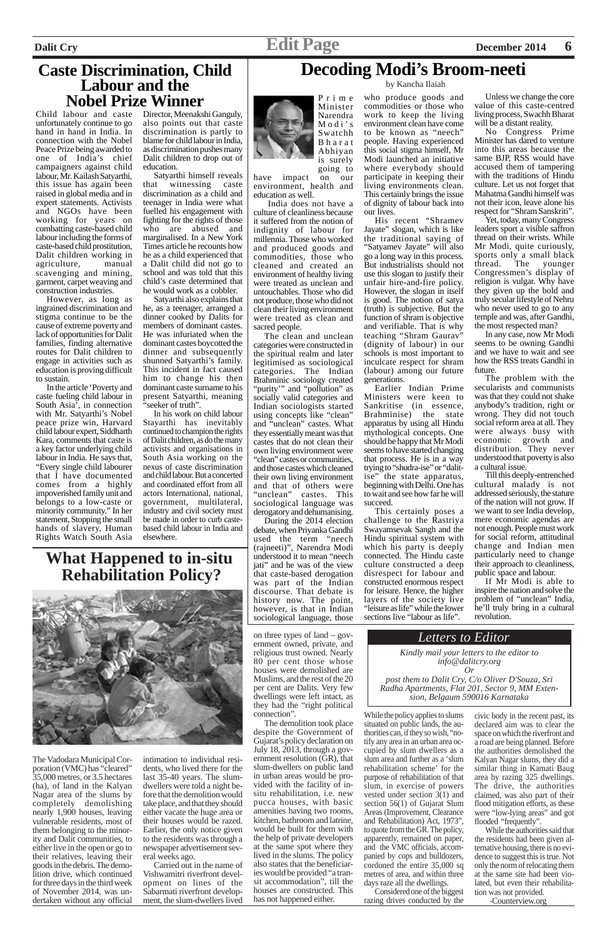# **Caste Discrimination, Child Labour and the Nobel Prize Winner**

Child labour and caste unfortunately continue to go hand in hand in India. In connection with the Nobel Peace Prize being awarded to one of India's chief campaigners against child labour, Mr. Kailash Satyarthi, this issue has again been raised in global media and in expert statements. Activists and NGOs have been working for years on combatting caste-based child labour including the forms of caste-based child prostitution, Dalit children working in agriculture, manual scavenging and mining, garment, carpet weaving and construction industries.

However, as long as ingrained discrimination and stigma continue to be the cause of extreme poverty and lack of opportunities for Dalit families, finding alternative routes for Dalit children to engage in activities such as education is proving difficult to sustain.

Satyarthi also explains that he, as a teenager, arranged a dinner cooked by Dalits for members of dominant castes. He was infuriated when the dominant castes boycotted the dinner and subsequently shunned Satyarthi's family. This incident in fact caused him to change his then dominant caste surname to his present Satyarthi, meaning 'seeker of truth".

In the article 'Poverty and caste fueling child labour in South Asia', in connection with Mr. Satyarthi's Nobel peace prize win, Harvard child labour expert, Siddharth Kara, comments that caste is a key factor underlying child labour in India. He says that, "Every single child labourer that I have documented comes from a highly impoverished family unit and belongs to a low-caste or minority community." In her statement, Stopping the small hands of slavery, Human Rights Watch South Asia Director, Meenakshi Ganguly, also points out that caste discrimination is partly to blame for child labour in India, as discrimination pushes many Dalit children to drop out of education.

Satyarthi himself reveals that witnessing caste discrimination as a child and teenager in India were what fuelled his engagement with fighting for the rights of those who are abused and marginalised. In a New York Times article he recounts how he as a child experienced that a Dalit child did not go to school and was told that this child's caste determined that he would work as a cobbler.

In his work on child labour Stayarthi has inevitably continued to champion the rights of Dalit children, as do the many activists and organisations in South Asia working on the nexus of caste discrimination and child labour. But a concerted and coordinated effort from all actors International, national, government, multilateral, industry and civil society must be made in order to curb castebased child labour in India and elsewhere.



Prime Minister Narendra Modi's Swatchh Bharat Abhiyan is surely

going to have impact on our environment, health and education as well.

No Congress Prime Minister has dared to venture into this areas because the same BJP, RSS would have accused them of tampering with the traditions of Hindu culture. Let us not forget that Mahatma Gandhi himself was not their icon, leave alone his respect for "Shram Sanskriti".

 India does not have a culture of cleanliness because it suffered from the notion of indignity of labour for millennia. Those who worked and produced goods and commodities, those who cleaned and created an environment of healthy living were treated as unclean and untouchables. Those who did not produce, those who did not clean their living environment were treated as clean and sacred people.

The clean and unclean categories were constructed in the spiritual realm and later legitimised as sociological categories. The Indian Brahminic sociology created "purity'" and "pollution" as socially valid categories and Indian sociologists started using concepts like "clean" and "unclean" castes. What they essentially meant was that castes that do not clean their own living environment were "clean" castes or communities, and those castes which cleaned their own living environment and that of others were "unclean" castes. This sociological language was derogatory and dehumanising.

During the 2014 election debate, when Priyanka Gandhi used the term "neech (rajneeti)", Narendra Modi understood it to mean "neech jati" and he was of the view that caste-based derogation was part of the Indian discourse. That debate is history now. The point, however, is that in Indian sociological language, those

who produce goods and commodities or those who work to keep the living environment clean have come to be known as "neech" people. Having experienced this social stigma himself, Mr Modi launched an initiative where everybody should participate in keeping their living environments clean. This certainly brings the issue of dignity of labour back into our lives.

His recent "Shramev Jayate" slogan, which is like the traditional saying of "Satyamev Jayate" will also go a long way in this process. But industrialists should not use this slogan to justify their unfair hire-and-fire policy. However, the slogan in itself is good. The notion of satya (truth) is subjective. But the function of shram is objective and verifiable. That is why teaching "Shram Gaurav" (dignity of labour) in our schools is most important to inculcate respect for shram (labour) among our future generations.

## **Decoding Modi's Broom-neeti** by Kancha Ilaiah

Earlier Indian Prime Ministers were keen to Sankritise (in essence, Brahminise) the state apparatus by using all Hindu mythological concepts. One should be happy that Mr Modi seems to have started changing that process. He is in a way trying to "shudra-ise" or "dalitise" the state apparatus, beginning with Delhi. One has to wait and see how far he will succeed.

This certainly poses a challenge to the Rastriya Swayamsevak Sangh and the Hindu spiritual system with which his party is deeply connected. The Hindu caste culture constructed a deep disrespect for labour and constructed enormous respect for leisure. Hence, the higher layers of the society live "leisure as life" while the lower sections live "labour as life".

Unless we change the core value of this caste-centred living process, Swachh Bharat will be a distant reality.

Yet, today, many Congress leaders sport a visible saffron thread on their wrists. While Mr Modi, quite curiously, sports only a small black thread. The younger Congressmen's display of religion is vulgar. Why have they given up the bold and truly secular lifestyle of Nehru who never used to go to any temple and was, after Gandhi, the most respected man?

In any case, now Mr Modi seems to be owning Gandhi and we have to wait and see how the RSS treats Gandhi in future.

The problem with the secularists and communists was that they could not shake anybody's tradition, right or wrong. They did not touch social reform area at all. They were always busy with economic growth and distribution. They never understood that poverty is also a cultural issue.

Till this deeply-entrenched cultural malady is not addressed seriously, the stature of the nation will not grow. If we want to see India develop, mere economic agendas are not enough. People must work for social reform, attitudinal change and Indian men particularly need to change their approach to cleanliness, public space and labour.

If Mr Modi is able to inspire the nation and solve the problem of "unclean" India, he'll truly bring in a cultural revolution.

# **What Happened to in-situ Rehabilitation Policy?**



The Vadodara Municipal Corporation (VMC) has "cleared" 35,000 metres, or 3.5 hectares (ha), of land in the Kalyan Nagar area of the slums by completely demolishing nearly 1,900 houses, leaving vulnerable residents, most of them belonging to the minority and Dalit communities, to either live in the open or go to their relatives, leaving their goods in the debris. The demolition drive, which continued for three days in the third week of November 2014, was undertaken without any official

intimation to individual residents, who lived there for the last 35-40 years. The slumdwellers were told a night before that the demolition would take place, and that they should either vacate the huge area or their houses would be razed. Earlier, the only notice given to the residents was through a newspaper advertisement several weeks ago.

Carried out in the name of Vishwamitri riverfront development on lines of the Sabarmati riverfront development, the slum-dwellers lived

on three types of land – government owned, private, and religious trust owned. Nearly 80 per cent those whose houses were demolished are Muslims, and the rest of the 20 per cent are Dalits. Very few dwellings were left intact, as they had the "right political connection". The demolition took place despite the Government of Gujarat's policy declaration on July 18, 2013, through a government resolution (GR), that slum-dwellers on public land in urban areas would be provided with the facility of insitu rehabilitation, i.e. new pucca houses, with basic amenities having two rooms, kitchen, bathroom and latrine, would be built for them with the help of private developers at the same spot where they lived in the slums. The policy also states that the beneficiaries would be provided "a transit accommodation", till the houses are constructed. This has not happened either.

While the policy applies to slums situated on public lands, the authorities can, if they so wish, "notify any area in an urban area occupied by slum dwellers as a slum area and further as a 'slum rehabilitation scheme' for the purpose of rehabilitation of that slum, in exercise of powers vested under section 3(1) and section 56(1) of Gujarat Slum Areas (Improvement, Clearance and Rehabilitation) Act, 1973", to quote from the GR. The policy, apparently, remained on paper, and the VMC officials, accompanied by cops and bulldozers, cordoned the entire 35,000 sq metres of area, and within three days raze all the dwellings.

Considered one of the biggest razing drives conducted by the

*Letters to Editor*

*Kindly mail your letters to the editor to info@dalitcry.org Or post them to Dalit Cry, C/o Oliver D'Souza, Sri*

*Radha Apartments, Flat 201, Sector 9, MM Extension, Belgaum 590016 Karnataka*

> civic body in the recent past, its declared aim was to clear the space on which the riverfront and a road are being planned. Before the authorities demolished the Kalyan Nagar slums, they did a similar thing in Kamati Baug area by razing 325 dwellings. The drive, the authorities claimed, was also part of their flood mitigation efforts, as these were "low-lying areas" and got flooded "frequently".

> While the authorities said that the residents had been given alternative housing, there is no evidence to suggest this is true. Not only the norm of relocating them at the same site had been violated, but even their rehabilitation was not provided. -Counterview.org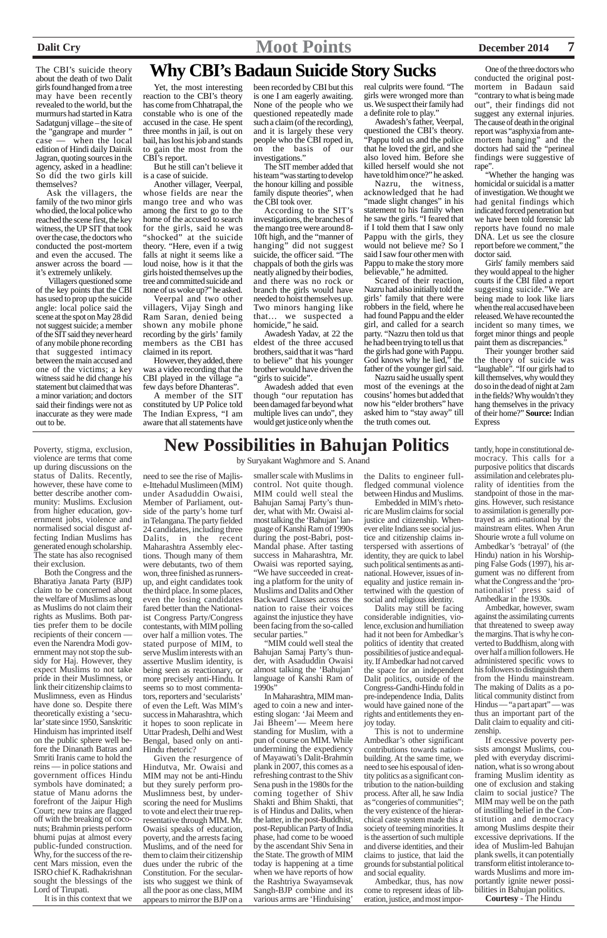about the death of two Dalit girls found hanged from a tree may have been recently revealed to the world, but the murmurs had started in Katra Sadatgunj village – the site of the "gangrape and murder " case — when the local edition of Hindi daily Dainik Jagran, quoting sources in the agency, asked in a headline: So did the two girls kill themselves?

Ask the villagers, the family of the two minor girls who died, the local police who reached the scene first, the key witness, the UP SIT that took over the case, the doctors who conducted the post-mortem and even the accused. The answer across the board it's extremely unlikely.

Villagers questioned some of the key points that the CBI has used to prop up the suicide angle: local police said the scene at the spot on May 28 did not suggest suicide; a member of the SIT said they never heard of any mobile phone recording that suggested intimacy between the main accused and one of the victims; a key witness said he did change his statement but claimed that was a minor variation; and doctors said their findings were not as inaccurate as they were made out to be.

# The CBI's suicide theory **Why CBI's Badaun Suicide Story Sucks**

Yet, the most interesting reaction to the CBI's theory has come from Chhatrapal, the constable who is one of the accused in the case. He spent three months in jail, is out on bail, has lost his job and stands to gain the most from the CBI's report.

But he still can't believe it is a case of suicide.

Another villager, Veerpal, whose fields are near the mango tree and who was among the first to go to the home of the accused to search for the girls, said he was "shocked" at the suicide theory. "Here, even if a twig falls at night it seems like a loud noise, how is it that the girls hoisted themselves up the tree and committed suicide and none of us woke up?" he asked.

Veerpal and two other villagers, Vijay Singh and Ram Saran, denied being shown any mobile phone recording by the girls' family members as the CBI has claimed in its report.

Girls' family members said they would appeal to the higher courts if the CBI filed a report suggesting suicide."We are being made to look like liars when the real accused have been released. We have recounted the incident so many times, we forget minor things and people paint them as discrepancies.'

However, they added, there was a video recording that the CBI played in the village "a few days before Dhanteras".

A member of the SIT constituted by UP Police told The Indian Express, "I am aware that all statements have

real culprits were found. "The girls were wronged more than us. We suspect their family had a definite role to play."

Awadesh's father, Veerpal, questioned the CBI's theory. "Pappu told us and the police that he loved the girl, and she also loved him. Before she killed herself would she not have told him once?" he asked.

Awadesh Yadav, at 22 the eldest of the three accused brothers, said that it was "hard to believe" that his younger brother would have driven the "girls to suicide".

Nazru, the witness, acknowledged that he had "made slight changes" in his statement to his family when he saw the girls. "I feared that if I told them that I saw only Pappu with the girls, they would not believe me? So I said I saw four other men with Pappu to make the story more believable," he admitted.

Scared of their reaction, Nazru had also initially told the girls' family that there were robbers in the field, where he had found Pappu and the elder girl, and called for a search party. "Nazru then told us that he had been trying to tell us that the girls had gone with Pappu. God knows why he lied," the father of the younger girl said.

Nazru said he usually spent most of the evenings at the cousins' homes but added that now his "elder brothers" have asked him to "stay away" till the truth comes out.

One of the three doctors who conducted the original postmortem in Badaun said "contrary to what is being made out", their findings did not suggest any external injuries. The cause of death in the original report was "asphyxia from antemortem hanging" and the doctors had said the "perineal findings were suggestive of rape".

"Whether the hanging was homicidal or suicidal is a matter of investigation. We thought we had genital findings which indicated forced penetration but we have been told forensic lab reports have found no male DNA. Let us see the closure report before we comment," the doctor said.

smaller scale with Muslims in control. Not quite though. MIM could well steal the Bahujan Samaj Party's thunder, what with Mr. Owaisi almost talking the 'Bahujan' language of Kanshi Ram of 1990s during the post-Babri, post-Mandal phase. After tasting success in Maharashtra, Mr. Owaisi was reported saying, "We have succeeded in creating a platform for the unity of Muslims and Dalits and Other Backward Classes across the nation to raise their voices against the injustice they have been facing from the so-called secular parties."

Their younger brother said the theory of suicide was "laughable". "If our girls had to kill themselves, why would they do so in the dead of night at 2am in the fields? Why wouldn't they hang themselves in the privacy of their home?" **Source:** Indian Express

"MIM could well steal the Bahujan Samaj Party's thunder, with Asaduddin Owaisi almost talking the 'Bahujan' language of Kanshi Ram of  $1990s''$ 

been recorded by CBI but this is one I am eagerly awaiting. None of the people who we questioned repeatedly made such a claim (of the recording), and it is largely these very people who the CBI roped in, on the basis of our investigations."

The SIT member added that his team "was starting to develop the honour killing and possible family dispute theories", when the CBI took over.

According to the SIT's investigations, the branches of the mango tree were around 8- 10ft high, and the "manner of hanging" did not suggest suicide, the officer said. "The chappals of both the girls was neatly aligned by their bodies, and there was no rock or branch the girls would have needed to hoist themselves up. Two minors hanging like that… we suspected a homicide," he said.

Awadesh added that even though "our reputation has been damaged far beyond what multiple lives can undo", they would get justice only when the

Poverty, stigma, exclusion, **New Possibilities in Bahujan Politics** violence are terms that come up during discussions on the status of Dalits. Recently, however, these have come to better describe another community: Muslims. Exclusion from higher education, government jobs, violence and normalised social disgust affecting Indian Muslims has generated enough scholarship. The state has also recognised their exclusion.

Both the Congress and the Bharatiya Janata Party (BJP) claim to be concerned about the welfare of Muslims as long as Muslims do not claim their rights as Muslims. Both parties prefer them to be docile recipients of their concern even the Narendra Modi government may not stop the subsidy for Haj. However, they expect Muslims to not take pride in their Muslimness, or link their citizenship claims to Muslimness, even as Hindus have done so. Despite there theoretically existing a 'secular' state since 1950, Sanskritic Hinduism has imprinted itself on the public sphere well before the Dinanath Batras and Smriti Iranis came to hold the reins — in police stations and government offices Hindu symbols have dominated; a statue of Manu adorns the forefront of the Jaipur High Court; new trains are flagged off with the breaking of coconuts; Brahmin priests perform bhumi pujas at almost every public-funded construction. Why, for the success of the recent Mars mission, even the ISRO chief K. Radhakrishnan sought the blessings of the Lord of Tirupati. It is in this context that we

need to see the rise of Majlise-Ittehadul Muslimeen (MIM) under Asaduddin Owaisi, Member of Parliament, outside of the party's home turf in Telangana. The party fielded 24 candidates, including three Dalits, in the recent Maharashtra Assembly elections. Though many of them were debutants, two of them won, three finished as runnersup, and eight candidates took the third place. In some places, even the losing candidates fared better than the Nationalist Congress Party/Congress contestants, with MIM polling over half a million votes. The stated purpose of MIM, to serve Muslim interests with an assertive Muslim identity, is being seen as reactionary, or more precisely anti-Hindu. It

by Suryakant Waghmore and S. Anand

seems so to most commentators, reporters and 'secularists' of even the Left. Was MIM's success in Maharashtra, which it hopes to soon replicate in Uttar Pradesh, Delhi and West Bengal, based only on anti-Hindu rhetoric?

Given the resurgence of Hindutva, Mr. Owaisi and MIM may not be anti-Hindu but they surely perform pro-Muslimness best, by underscoring the need for Muslims to vote and elect their true representative through MIM. Mr. Owaisi speaks of education, poverty, and the arrests facing Muslims, and of the need for them to claim their citizenship dues under the rubric of the Constitution. For the secularists who suggest we think of all the poor as one class, MIM appears to mirror the BJP on a

In Maharashtra, MIM managed to coin a new and interesting slogan: 'Jai Meem and Jai Bheem'— Meem here standing for Muslim, with a pun of course on MIM. While undermining the expediency of Mayawati's Dalit-Brahmin plank in 2007, this comes as a refreshing contrast to the Shiv Sena push in the 1980s for the coming together of Shiv Shakti and Bhim Shakti, that is of Hindus and Dalits, when the latter, in the post-Buddhist, post-Republican Party of India phase, had come to be wooed by the ascendant Shiv Sena in the State. The growth of MIM today is happening at a time when we have reports of how the Rashtriya Swayamsevak Sangh-BJP combine and its various arms are 'Hinduising'

the Dalits to engineer fullfledged communal violence between Hindus and Muslims.

Embedded in MIM's rhetoric are Muslim claims for social justice and citizenship. Whenever elite Indians see social justice and citizenship claims interspersed with assertions of identity, they are quick to label such political sentiments as antinational. However, issues of inequality and justice remain intertwined with the question of social and religious identity.

Dalits may still be facing considerable indignities, violence, exclusion and humiliation had it not been for Ambedkar's politics of identity that created possibilities of justice and equality. If Ambedkar had not carved the space for an independent Dalit politics, outside of the Congress-Gandhi-Hindu fold in pre-independence India, Dalits would have gained none of the rights and entitlements they enjoy today. This is not to undermine Ambedkar's other significant contributions towards nationbuilding. At the same time, we need to see his espousal of identity politics as a significant contribution to the nation-building process. After all, he saw India as "congeries of communities"; the very existence of the hierarchical caste system made this a society of teeming minorities. It is the assertion of such multiple and diverse identities, and their claims to justice, that laid the grounds for substantial political and social equality. Ambedkar, thus, has now come to represent ideas of liberation, justice, and most impor-

tantly, hope in constitutional democracy. This calls for a purposive politics that discards assimilation and celebrates plurality of identities from the standpoint of those in the margins. However, such resistance to assimilation is generally portrayed as anti-national by the mainstream elites. When Arun Shourie wrote a full volume on Ambedkar's 'betrayal' of (the Hindu) nation in his Worshipping False Gods (1997), his argument was no different from what the Congress and the 'pronationalist' press said of Ambedkar in the 1930s.

Ambedkar, however, swam against the assimilating currents that threatened to sweep away the margins. That is why he converted to Buddhism, along with over half a million followers. He administered specific vows to his followers to distinguish them from the Hindu mainstream. The making of Dalits as a political community distinct from Hindus — "a part apart" — was thus an important part of the Dalit claim to equality and citizenship. If excessive poverty persists amongst Muslims, coupled with everyday discrimination, what is so wrong about framing Muslim identity as one of exclusion and staking claim to social justice? The MIM may well be on the path of instilling belief in the Constitution and democracy among Muslims despite their excessive deprivations. If the idea of Muslim-led Bahujan plank swells, it can potentially transform elitist intolerance towards Muslims and more importantly ignite newer possibilities in Bahujan politics. **Courtesy** - The Hindu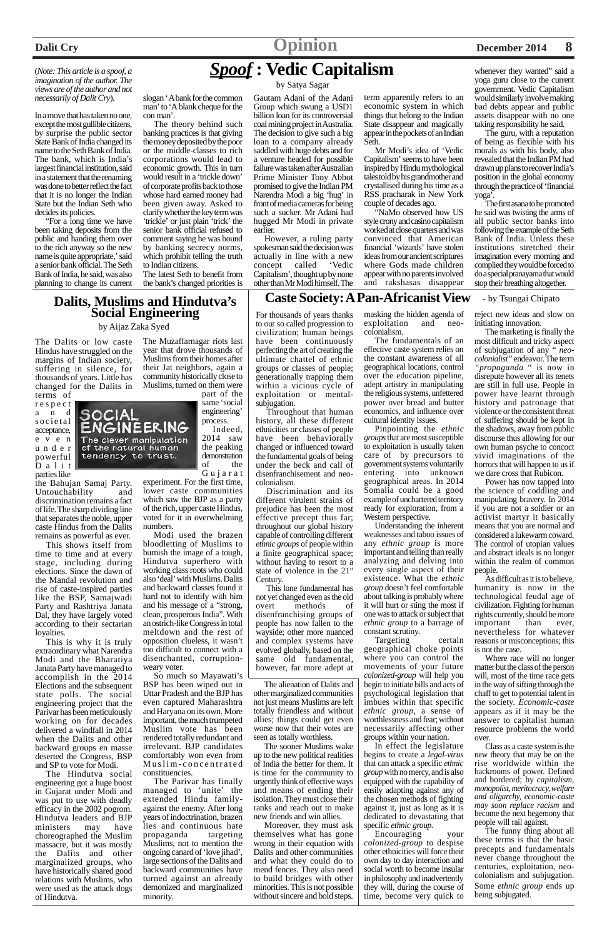# *Spoof* **: Vedic Capitalism**

by Satya Sagar

#### (*Note: This article is a spoof, a imagination of the author. The views are of the author and not necessarily of Dalit Cry*).

In a move that has taken no one, except the most gullible citizens, by surprise the public sector State Bank of India changed its name to the Seth Bank of India. The bank, which is India's largest financial institution, said in a statement that the renaming was done to better reflect the fact that it is no longer the Indian State but the Indian Seth who decides its policies.

"For a long time we have been taking deposits from the public and handing them over to the rich anyway so the new name is quite appropriate,' said a senior bank official. The Seth Bank of India, he said, was also planning to change its current

#### slogan ' A bank for the common man' to 'A blank cheque for the con man'.

The theory behind such banking practices is that giving the money deposited by the poor or the middle-classes to rich corporations would lead to economic growth. This in turn would result in a 'trickle down' of corporate profits back to those whose hard earned money had been given away. Asked to clarify whether the key term was 'trickle' or just plain 'trick' the senior bank official refused to comment saying he was bound by banking secrecy norms, which prohibit telling the truth to Indian citizens.

The latest Seth to benefit from the bank's changed priorities is

whenever they wanted" said a yoga guru close to the current government. Vedic Capitalism would similarly involve making bad debts appear and public assets disappear with no one taking responsibility he said.

Gautam Adani of the Adani Group which swung a USD1 billion loan for its controversial coal mining project in Australia. The decision to give such a big loan to a company already saddled with huge debts and for a venture headed for possible failure was taken after Australian Prime Minister Tony Abbot promised to give the Indian PM Narendra Modi a big 'hug' in front of media cameras for being such a sucker. Mr Adani had hugged Mr Modi in private earlier.

However, a ruling party spokesman said the decision was actually in line with a new<br>concept called 'Vedic concept called Capitalism', thought up by none other than Mr Modi himself. The term apparently refers to an economic system in which things that belong to the Indian State disappear and magically appear in the pockets of an Indian Seth.

Mr Modi's idea of 'Vedic Capitalism' seems to have been inspired by Hindu mythological tales told by his grandmother and crystallised during his time as a RSS pracharak in New York couple of decades ago.

"NaMo observed how US style crony and casino capitalism worked at close quarters and was convinced that American financial 'wizards' have stolen ideas from our ancient scriptures where Gods made children appear with no parents involved and rakshasas disappear

The guru, with a reputation of being as flexible with his morals as with his body, also revealed that the Indian PM had drawn up plans to recover India's position in the global economy through the practice of 'financial yoga'.

The first asana to be promoted he said was twisting the arms of all public sector banks into following the example of the Seth Bank of India. Unless these institutions stretched their imagination every morning and complied they would be forced to do a special pranayama that would stop their breathing altogether.

# **Dalits, Muslims and Hindutva's Social Engineering**

by Aijaz Zaka Syed

The Dalits or low caste Hindus have struggled on the margins of Indian society, suffering in silence, for thousands of years. Little has changed for the Dalits in

terms of respect and societal acceptance, e v e n | powerful Dalit parties like



the Bahujan Samaj Party. Untouchability and discrimination remains a fact of life. The sharp dividing line that separates the noble, upper caste Hindus from the Dalits remains as powerful as ever.

This shows itself from time to time and at every stage, including during elections. Since the dawn of the Mandal revolution and rise of caste-inspired parties like the BSP, Samajwadi Party and Rashtriya Janata Dal, they have largely voted according to their sectarian loyalties.

This is why it is truly extraordinary what Narendra Modi and the Bharatiya Janata Party have managed to accomplish in the 2014 Elections and the subsequent state polls. The social engineering project that the Parivar has been meticulously working on for decades delivered a windfall in 2014 when the Dalits and other backward groups en masse deserted the Congress, BSP and SP to vote for Modi. The Hindutva social engineering got a huge boost in Gujarat under Modi and was put to use with deadly efficacy in the 2002 pogrom. Hindutva leaders and BJP ministers may have choreographed the Muslim massacre, but it was mostly the Dalits and other marginalized groups, who have historically shared good relations with Muslims, who were used as the attack dogs of Hindutva.

The Muzaffarnagar riots last year that drove thousands of Muslims from their homes after their Jat neighbors, again a community historically close to Muslims, turned on them were

part of the same 'social engineering' process. Indeed, 2014 saw

the peaking demonstration of the Gujarat

experiment. For the first time, lower caste communities which saw the BJP as a party of the rich, upper caste Hindus, voted for it in overwhelming numbers.

Modi used the brazen bloodletting of Muslims to burnish the image of a tough, Hindutva superhero with working class roots who could also 'deal' with Muslims. Dalits and backward classes found it hard not to identify with him and his message of a "strong, clean, prosperous India". With an ostrich-like Congress in total meltdown and the rest of opposition clueless, it wasn't too difficult to connect with a disenchanted, corruptionweary voter.

So much so Mayawati's BSP has been wiped out in Uttar Pradesh and the BJP has even captured Maharashtra and Haryana on its own. More important, the much trumpeted Muslim vote has been rendered totally redundant and irrelevant. BJP candidates comfortably won even from Muslim-concentrated constituencies. The Parivar has finally managed to 'unite' the extended Hindu familyagainst the enemy. After long years of indoctrination, brazen lies and continuous hate propaganda targeting Muslims, not to mention the ongoing canard of 'love jihad', large sections of the Dalits and backward communities have turned against an already demonized and marginalized minority.

The alienation of Dalits and other marginalized communities not just means Muslims are left totally friendless and without allies; things could get even worse now that their votes are seen as totally worthless. The sooner Muslims wake up to the new political realities of India the better for them. It is time for the community to urgently think of effective ways and means of ending their isolation. They must close their ranks and reach out to make new friends and win allies. Moreover, they must ask themselves what has gone wrong in their equation with Dalits and other communities and what they could do to mend fences. They also need to build bridges with other minorities. This is not possible without sincere and bold steps.

For thousands of years thanks to our so called progression to civilization; human beings have been continuously perfecting the art of creating the ultimate chattel of ethnic groups or classes of people; generationally trapping them within a vicious cycle of exploitation or mentalsubjugation.

Throughout that human history, all these different ethnicities or classes of people have been behaviorally changed or influenced toward the fundamental goals of being under the beck and call of disenfranchisement and neocolonialism.

Discrimination and its different virulent strains of prejudice has been the most effective precept thus far; throughout our global history capable of controlling different *ethnic groups* of people within a finite geographical space; without having to resort to a state of violence in the 21st Century.

This lone fundamental has not yet changed even as the old overt methods of disenfranchising groups of people has now fallen to the wayside; other more nuanced and complex systems have evolved globally, based on the same old fundamental, however, far more adept at

masking the hidden agenda of exploitation and neocolonialism.

The fundamentals of an effective caste system relies on the constant awareness of all geographical locations, control over the education pipeline, adept artistry in manipulating the religious systems, unfettered power over bread and butter economics, and influence over cultural identity issues.

Pinpointing the *ethnic groups* that are most susceptible to exploitation is usually taken care of by precursors to government systems voluntarily entering into unknown geographical areas. In 2014 Somalia could be a good example of unchartered territory ready for exploration, from a Western perspective.

Understanding the inherent weaknesses and taboo issues of any *ethnic group* is more important and telling than really analyzing and delving into every single aspect of their existence. What the *ethnic group* doesn't feel comfortable about talking is probably where it will hurt or sting the most if one was to attack or subject that *ethnic group* to a barrage of constant scrutiny.

Targeting certain geographical choke points where you can control the movements of your future *colonized-group* will help you begin to initiate bills and acts of psychological legislation that imbues within that specific *ethnic group,* a sense of worthlessness and fear; without necessarily affecting other groups within your nation. In effect the legislature begins to create a *legal-virus* that can attack a specific *ethnic group* with no mercy, and is also equipped with the capability of easily adapting against any of the chosen methods of fighting against it, just as long as it is dedicated to devastating that specific *ethnic group.* Encouraging your *colonized-group* to despise other ethnicities will force their own day to day interaction and social worth to become insular in philosophy and inadvertently they will, during the course of time, become very quick to

reject new ideas and slow on initiating innovation.

The marketing is finally the most difficult and tricky aspect of subjugation of any " *neocolonialist"* endeavor. The term *"propaganda* " is now in disrepute however all its tenets are still in full use. People in power have learnt through history and patronage that violence or the consistent threat of suffering should be kept in the shadows, away from public discourse thus allowing for our own human psyche to concoct vivid imaginations of the horrors that will happen to us if we dare cross that Rubicon.

Power has now tapped into the science of coddling and manipulating bravery. In 2014 if you are not a soldier or an activist martyr it basically means that you are normal and considered a lukewarm coward. The control of utopian values and abstract ideals is no longer within the realm of common people.

As difficult as it is to believe, humanity is now in the technological feudal age of civilization. Fighting for human rights currently, should be more important than ever, nevertheless for whatever reasons or misconceptions; this is not the case.

Where race will no longer matter but the class of the person will, most of the time race gets in the way of sifting through the chaff to get to potential talent in the society. *Economic-caste* appears as if it may be the answer to capitalist human resource problems the world over. Class as a caste system is the new theory that may be on the rise worldwide within the backrooms of power. Defined and bordered; by *capitalism, monopolist, meritocracy, welfare and oligarchy, economic-caste may soon replace racism* and become the next hegemony that people will rail against. The funny thing about all these terms is that the basic precepts and fundamentals never change throughout the centuries, exploitation, neocolonialism and subjugation. Some *ethnic group* ends up being subjugated.

## **Caste Society: A Pan-Africanist View** - by Tsungai Chipato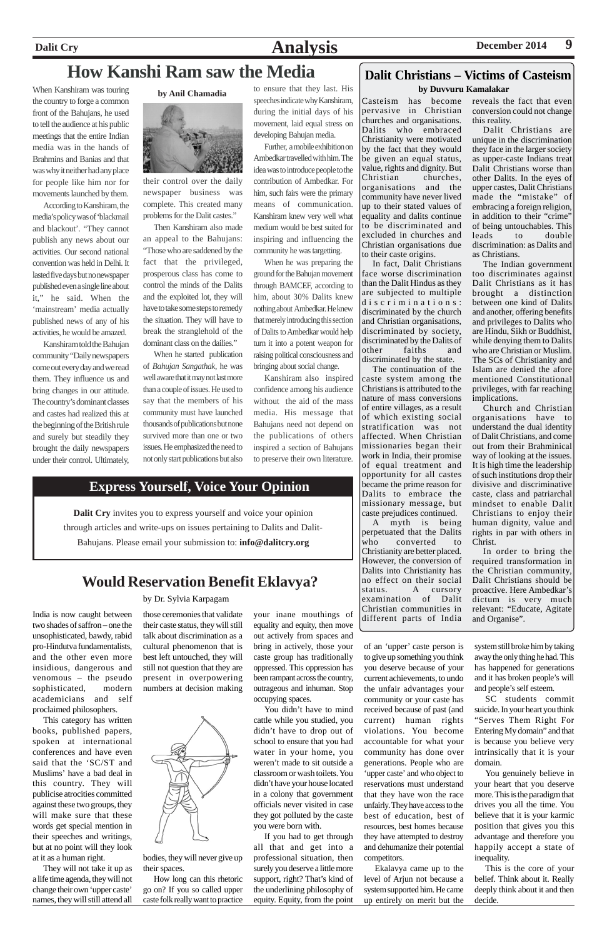# **Dalit Cry Analysis December 2014** 9

When Kanshiram was touring the country to forge a common front of the Bahujans, he used to tell the audience at his public meetings that the entire Indian media was in the hands of Brahmins and Banias and that was why it neither had any place for people like him nor for movements launched by them.

According to Kanshiram, the media's policy was of 'blackmail and blackout'. "They cannot publish any news about our activities. Our second national convention was held in Delhi. It lasted five days but no newspaper published even a single line about it," he said. When the 'mainstream' media actually published news of any of his activities, he would be amazed.

Kanshiram told the Bahujan community "Daily newspapers come out every day and we read them. They influence us and bring changes in our attitude. The country's dominant classes and castes had realized this at the beginning of the British rule and surely but steadily they brought the daily newspapers under their control. Ultimately,



their control over the daily newspaper business was complete. This created many problems for the Dalit castes."

Then Kanshiram also made an appeal to the Bahujans: "Those who are saddened by the fact that the privileged, prosperous class has come to control the minds of the Dalits and the exploited lot, they will have to take some steps to remedy the situation. They will have to break the stranglehold of the dominant class on the dailies."

When he started publication of *Bahujan Sangathak*, he was well aware that it may not last more than a couple of issues. He used to say that the members of his community must have launched thousands of publications but none survived more than one or two issues. He emphasized the need to not only start publications but also

to ensure that they last. His by Anil Chamadia<br>speeches indicate why Kanshiram, Casteism has become during the initial days of his movement, laid equal stress on developing Bahujan media.

> Further, a mobile exhibition on Ambedkar travelled with him. The idea was to introduce people to the contribution of Ambedkar. For him, such fairs were the primary means of communication. Kanshiram knew very well what medium would be best suited for inspiring and influencing the community he was targetting.

> When he was preparing the ground for the Bahujan movement through BAMCEF, according to him, about 30% Dalits knew nothing about Ambedkar. He knew that merely introducing this section of Dalits to Ambedkar would help turn it into a potent weapon for raising political consciousness and bringing about social change.

> Kanshiram also inspired confidence among his audience without the aid of the mass media. His message that Bahujans need not depend on the publications of others inspired a section of Bahujans to preserve their own literature.

# **How Kanshi Ram saw the Media**

pervasive in Christian churches and organisations. Dalits who embraced Christianity were motivated by the fact that they would be given an equal status, value, rights and dignity. But Christian churches, organisations and the community have never lived up to their stated values of equality and dalits continue to be discriminated and excluded in churches and Christian organisations due to their caste origins.

In fact, Dalit Christians face worse discrimination than the Dalit Hindus as they are subjected to multiple discriminations: discriminated by the church and Christian organisations, discriminated by society, discriminated by the Dalits of other faiths and discriminated by the state.

The continuation of the caste system among the Christians is attributed to the nature of mass conversions of entire villages, as a result of which existing social stratification was not affected. When Christian missionaries began their work in India, their promise of equal treatment and opportunity for all castes became the prime reason for Dalits to embrace the missionary message, but caste prejudices continued.

A myth is being perpetuated that the Dalits who converted to Christianity are better placed. However, the conversion of Dalits into Christianity has no effect on their social status. A cursory examination of Dalit Christian communities in different parts of India reveals the fact that even conversion could not change this reality.

Dalit Christians are unique in the discrimination they face in the larger society as upper-caste Indians treat Dalit Christians worse than other Dalits. In the eyes of upper castes, Dalit Christians made the "mistake" of embracing a foreign religion, in addition to their "crime" of being untouchables. This leads to double discrimination: as Dalits and as Christians.

The Indian government too discriminates against Dalit Christians as it has brought a distinction between one kind of Dalits and another, offering benefits and privileges to Dalits who are Hindu, Sikh or Buddhist, while denying them to Dalits who are Christian or Muslim. The SCs of Christianity and Islam are denied the afore mentioned Constitutional privileges, with far reaching implications.

Church and Christian organisations have to understand the dual identity of Dalit Christians, and come out from their Brahminical way of looking at the issues. It is high time the leadership of such institutions drop their divisive and discriminative caste, class and patriarchal mindset to enable Dalit Christians to enjoy their human dignity, value and rights in par with others in Christ.

In order to bring the required transformation in the Christian community, Dalit Christians should be proactive. Here Ambedkar's dictum is very much relevant: "Educate, Agitate and Organise".

## **Dalit Christians – Victims of Casteism by Duvvuru Kamalakar**

India is now caught between two shades of saffron – one the unsophisticated, bawdy, rabid pro-Hindutva fundamentalists, and the other even more insidious, dangerous and venomous – the pseudo sophisticated, modern academicians and self proclaimed philosophers. This category has written books, published papers, spoken at international conferences and have even said that the 'SC/ST and Muslims' have a bad deal in this country. They will publicise atrocities committed against these two groups, they will make sure that these words get special mention in their speeches and writings, but at no point will they look at it as a human right. They will not take it up as a life time agenda, they will not change their own 'upper caste' names, they will still attend all

those ceremonies that validate their caste status, they will still talk about discrimination as a cultural phenomenon that is best left untouched, they will still not question that they are present in overpowering



bodies, they will never give up

their spaces.

How long can this rhetoric go on? If you so called upper caste folk really want to practice

your inane mouthings of equality and equity, then move out actively from spaces and bring in actively, those your caste group has traditionally oppressed. This oppression has been rampant across the country,



You didn't have to mind cattle while you studied, you didn't have to drop out of school to ensure that you had water in your home, you weren't made to sit outside a classroom or wash toilets. You didn't have your house located in a colony that government officials never visited in case they got polluted by the caste you were born with.

If you had to get through all that and get into a professional situation, then surely you deserve a little more support, right? That's kind of the underlining philosophy of equity. Equity, from the point

# **Would Reservation Benefit Eklavya?**

#### by Dr. Sylvia Karpagam

of an 'upper' caste person is to give up something you think you deserve because of your current achievements, to undo the unfair advantages your community or your caste has received because of past (and current) human rights violations. You become accountable for what your community has done over generations. People who are 'upper caste' and who object to reservations must understand that they have won the race unfairly. They have access to the best of education, best of resources, best homes because they have attempted to destroy and dehumanize their potential competitors. Ekalavya came up to the level of Arjun not because a system supported him. He came up entirely on merit but the

system still broke him by taking away the only thing he had. This has happened for generations and it has broken people's will and people's self esteem.

SC students commit suicide. In your heart you think "Serves Them Right For Entering My domain" and that is because you believe very intrinsically that it is your domain.

You genuinely believe in your heart that you deserve more. This is the paradigm that drives you all the time. You believe that it is your karmic position that gives you this advantage and therefore you happily accept a state of inequality.

This is the core of your belief. Think about it. Really deeply think about it and then decide.



# **Express Yourself, Voice Your Opinion**

**Dalit Cry** invites you to express yourself and voice your opinion through articles and write-ups on issues pertaining to Dalits and Dalit-Bahujans. Please email your submission to: **info@dalitcry.org**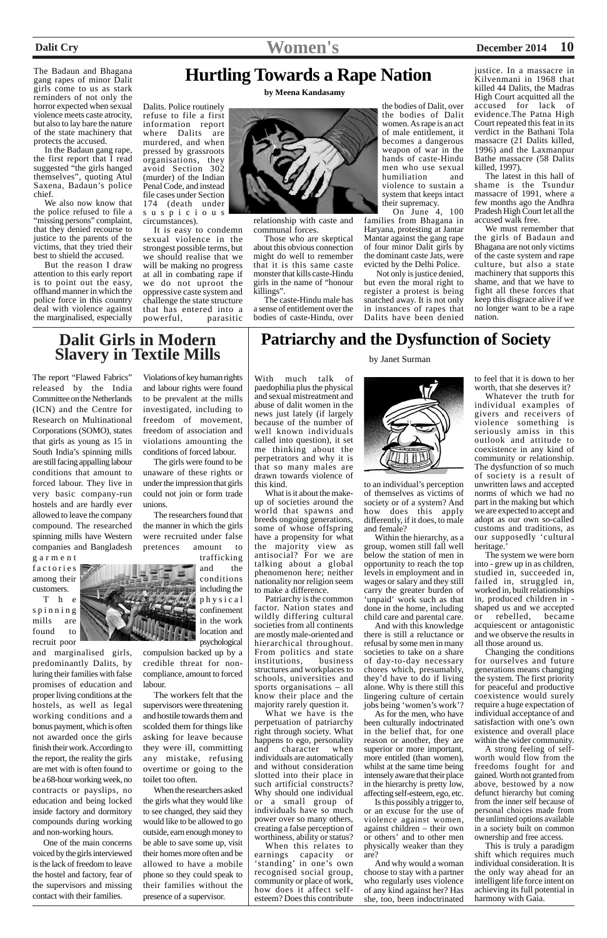The Badaun and Bhagana gang rapes of minor Dalit girls come to us as stark reminders of not only the horror expected when sexual violence meets caste atrocity, but also to lay bare the nature of the state machinery that protects the accused.

In the Badaun gang rape, the first report that I read suggested "the girls hanged themselves", quoting Atul Saxena, Badaun's police chief.

We also now know that the police refused to file a "missing persons" complaint, that they denied recourse to justice to the parents of the victims, that they tried their best to shield the accused.

But the reason I draw attention to this early report is to point out the easy, offhand manner in which the police force in this country deal with violence against the marginalised, especially

Dalits. Police routinely refuse to file a first information report where Dalits are murdered, and when pressed by grassroots organisations, they avoid Section 302 (murder) of the Indian Penal Code, and instead file cases under Section 174 (death under suspicious circumstances).

On June 4, 100 families from Bhagana in Haryana, protesting at Jantar Mantar against the gang rape of four minor Dalit girls by the dominant caste Jats, were evicted by the Delhi Police.

It is easy to condemn sexual violence in the strongest possible terms, but we should realise that we will be making no progress at all in combating rape if we do not uproot the oppressive caste system and challenge the state structure that has entered into a powerful, parasitic relationship with caste and communal forces.

Those who are skeptical about this obvious connection might do well to remember that it is this same caste monster that kills caste-Hindu girls in the name of "honour killings".

The caste-Hindu male has a sense of entitlement over the bodies of caste-Hindu, over

the bodies of Dalit, over the bodies of Dalit women. As rape is an act of male entitlement, it becomes a dangerous weapon of war in the hands of caste-Hindu men who use sexual humiliation and violence to sustain a system that keeps intact their supremacy.

T h e spinning mills are found to recruit poor

 Not only is justice denied, but even the moral right to register a protest is being snatched away. It is not only in instances of rapes that Dalits have been denied

justice. In a massacre in Kilvenmani in 1968 that killed 44 Dalits, the Madras High Court acquitted all the accused for lack of evidence.The Patna High Court repeated this feat in its verdict in the Bathani Tola massacre (21 Dalits killed, 1996) and the Laxmanpur Bathe massacre (58 Dalits killed, 1997).

The latest in this hall of shame is the Tsundur massacre of 1991, where a few months ago the Andhra Pradesh High Court let all the accused walk free.

# **Patriarchy and the Dysfunction of Society** by Janet Surman

We must remember that the girls of Badaun and Bhagana are not only victims of the caste system and rape culture, but also a state machinery that supports this shame, and that we have to fight all these forces that keep this disgrace alive if we no longer want to be a rape nation.

# **Hurtling Towards a Rape Nation**

**by Meena Kandasamy**



The report "Flawed Fabrics" released by the India Committee on the Netherlands (ICN) and the Centre for Research on Multinational Corporations (SOMO), states that girls as young as 15 in South India's spinning mills are still facing appalling labour conditions that amount to forced labour. They live in very basic company-run hostels and are hardly ever allowed to leave the company compound. The researched spinning mills have Western companies and Bangladesh

garment factories among their customers.

and marginalised girls, predominantly Dalits, by luring their families with false promises of education and

proper living conditions at the hostels, as well as legal working conditions and a bonus payment, which is often not awarded once the girls finish their work. According to the report, the reality the girls are met with is often found to be a 68-hour working week, no contracts or payslips, no education and being locked inside factory and dormitory compounds during working and non-working hours.

One of the main concerns voiced by the girls interviewed is the lack of freedom to leave the hostel and factory, fear of the supervisors and missing contact with their families.

Whatever the truth for individual examples of givers and receivers of violence something is seriously amiss in this outlook and attitude to coexistence in any kind of community or relationship. The dysfunction of so much of society is a result of unwritten laws and accepted norms of which we had no part in the making but which we are expected to accept and adopt as our own so-called customs and traditions, as our supposedly 'cultural heritage.

Violations of key human rights and labour rights were found to be prevalent at the mills investigated, including to freedom of movement, freedom of association and violations amounting the conditions of forced labour.

The girls were found to be unaware of these rights or under the impression that girls could not join or form trade unions.

The researchers found that the manner in which the girls were recruited under false pretences amount to

# trafficking

and the conditions including the physical confinement in the work location and psychological

compulsion backed up by a credible threat for noncompliance, amount to forced labour.

The workers felt that the supervisors were threatening and hostile towards them and scolded them for things like asking for leave because they were ill, committing any mistake, refusing overtime or going to the toilet too often.

When the researchers asked the girls what they would like to see changed, they said they would like to be allowed to go outside, earn enough money to be able to save some up, visit their homes more often and be allowed to have a mobile phone so they could speak to their families without the presence of a supervisor.

# **Dalit Girls in Modern**

With much talk of paedophilia plus the physical and sexual mistreatment and abuse of dalit women in the news just lately (if largely because of the number of well known individuals called into question), it set me thinking about the perpetrators and why it is that so many males are drawn towards violence of this kind.

What is it about the makeup of societies around the world that spawns and breeds ongoing generations, some of whose offspring have a propensity for what the majority view as antisocial? For we are talking about a global phenomenon here; neither nationality nor religion seem to make a difference.

Patriarchy is the common factor. Nation states and wildly differing cultural societies from all continents are mostly male-oriented and hierarchical throughout. From politics and state institutions, business structures and workplaces to schools, universities and sports organisations – all know their place and the majority rarely question it. What we have is the perpetuation of patriarchy right through society. What happens to ego, personality and character when individuals are automatically and without consideration slotted into their place in such artificial constructs? Why should one individual or a small group of individuals have so much power over so many others, creating a false perception of worthiness, ability or status? When this relates to earnings capacity or 'standing' in one's own recognised social group, community or place of work, how does it affect selfesteem? Does this contribute



to an individual's perception of themselves as victims of society or of a system? And how does this apply differently, if it does, to male and female?

Within the hierarchy, as a group, women still fall well below the station of men in opportunity to reach the top levels in employment and in wages or salary and they still carry the greater burden of 'unpaid' work such as that done in the home, including child care and parental care.

And with this knowledge there is still a reluctance or refusal by some men in many societies to take on a share of day-to-day necessary chores which, presumably, they'd have to do if living alone. Why is there still this lingering culture of certain jobs being 'women's work'? As for the men, who have been culturally indoctrinated in the belief that, for one reason or another, they are superior or more important, more entitled (than women), whilst at the same time being intensely aware that their place in the hierarchy is pretty low, affecting self-esteem, ego, etc. Is this possibly a trigger to, or an excuse for the use of violence against women, against children – their own or others' and to other men physically weaker than they are? And why would a woman choose to stay with a partner who regularly uses violence of any kind against her? Has she, too, been indoctrinated

to feel that it is down to her worth, that she deserves it?

The system we were born into - grew up in as children, studied in, succeeded in, failed in, struggled in, worked in, built relationships in, produced children in shaped us and we accepted or rebelled, became acquiescent or antagonistic and we observe the results in all those around us.

Changing the conditions for ourselves and future generations means changing the system. The first priority for peaceful and productive coexistence would surely require a huge expectation of individual acceptance of and satisfaction with one's own existence and overall place within the wider community. A strong feeling of selfworth would flow from the freedoms fought for and gained. Worth not granted from above, bestowed by a now defunct hierarchy but coming from the inner self because of personal choices made from the unlimited options available in a society built on common ownership and free access. This is truly a paradigm shift which requires much individual consideration. It is the only way ahead for an intelligent life force intent on achieving its full potential in harmony with Gaia.

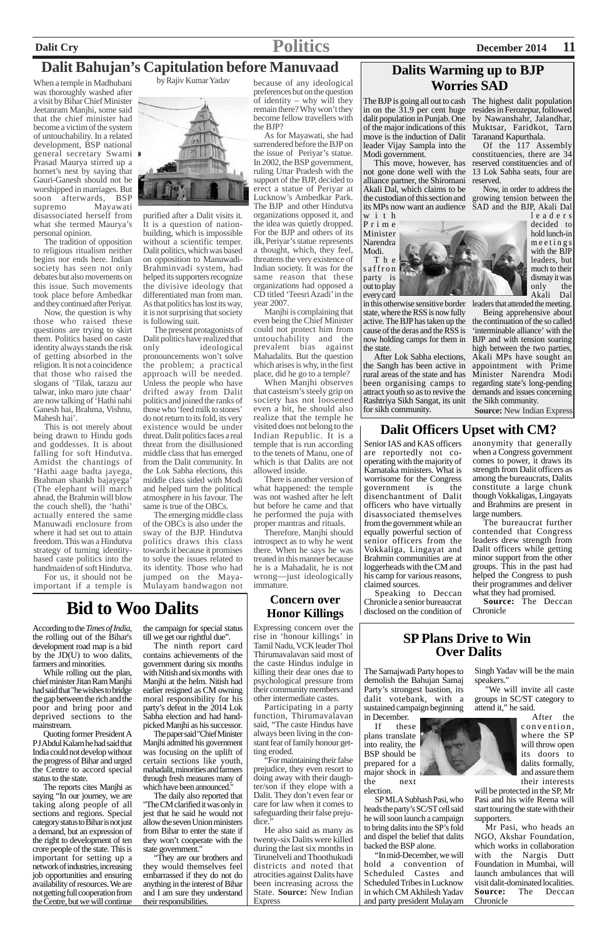# **Dalit Cry Politics December 2014 11**

When a temple in Madhubani was thoroughly washed after a visit by Bihar Chief Minister Jeetanram Manjhi, some said that the chief minister had become a victim of the system of untouchability. In a related development, BSP national general secretary Swami Prasad Maurya stirred up a hornet's nest by saying that Gauri-Ganesh should not be worshipped in marriages. But soon afterwards, BSP supremo Mayawati disassociated herself from what she termed Maurya's personal opinion.

The tradition of opposition to religious ritualism neither begins nor ends here. Indian society has seen not only debates but also movements on this issue. Such movements took place before Ambedkar and they continued after Periyar.

Now, the question is why those who raised these questions are trying to skirt them. Politics based on caste identity always stands the risk of getting absorbed in the religion. It is not a coincidence that those who raised the slogans of 'Tilak, tarazu aur talwar, inko maro jute chaar' are now talking of 'Hathi nahi Ganesh hai, Brahma, Vishnu, Mahesh hai'.

This is not merely about being drawn to Hindu gods and goddesses. It is about falling for soft Hindutva. Amidst the chantings of 'Hathi aage badta jayega, Brahman shankh bajayega' (The elephant will march ahead, the Brahmin will blow the couch shell), the 'hathi' actually entered the same Manuwadi enclosure from where it had set out to attain freedom. This was a Hindutva strategy of turning identitybased caste politics into the handmaiden of soft Hindutva.

For us, it should not be important if a temple is

purified after a Dalit visits it. It is a question of nationbuilding, which is impossible without a scientific temper. Dalit politics, which was based on opposition to Manuwadi-Brahminvadi system, had helped its supporters recognize the divisive ideology that differentiated man from man. As that politics has lost its way, it is not surprising that society is following suit.

The present protagonists of Dalit politics have realized that<br>only ideological ideological pronouncements won't solve the problem; a practical approach will be needed. Unless the people who have drifted away from Dalit politics and joined the ranks of those who 'feed milk to stones' do not return to its fold, its very existence would be under threat. Dalit politics faces a real threat from the disillusioned middle class that has emerged from the Dalit community. In the Lok Sabha elections, this middle class sided with Modi and helped turn the political atmosphere in his favour. The same is true of the OBCs.

The emerging middle class of the OBCs is also under the sway of the BJP. Hindutva politics draws this class towards it because it promises to solve the issues related to its identity. Those who had jumped on the Maya-Mulayam bandwagon not because of any ideological preferences but on the question of identity – why will they remain there? Why won't they become fellow travellers with the BJP?

> T h e saffron party is out to play every card

As for Mayawati, she had surrendered before the BJP on the issue of Periyar's statue. In 2002, the BSP government, ruling Uttar Pradesh with the support of the BJP, decided to erect a statue of Periyar at Lucknow's Ambedkar Park. The BJP and other Hindutva organizations opposed it, and the idea was quietly dropped. For the BJP and others of its ilk, Periyar's statue represents a thought, which, they feel, threatens the very existence of Indian society. It was for the same reason that these organizations had opposed a CD titled 'Teesri Azadi' in the year 2007.

Manjhi is complaining that even being the Chief Minister could not protect him from untouchability and the prevalent bias against Mahadalits. But the question which arises is why, in the first place, did he go to a temple?

When Manjhi observes that casteism's steely grip on society has not loosened even a bit, he should also realize that the temple he visited does not belong to the Indian Republic. It is a temple that is run according to the tenets of Manu, one of which is that Dalits are not allowed inside.

There is another version of what happened: the temple was not washed after he left but before he came and that he performed the puja with proper mantras and rituals.

Therefore, Manjhi should introspect as to why he went there. When he says he was treated in this manner because he is a Mahadalit, he is not wrong—just ideologically immature.

# **Dalit Bahujan's Capitulation before Manuvaad**

by Rajiv Kumar Yadav



## **SP Plans Drive to Win Over Dalits**

The Samajwadi Party hopes to demolish the Bahujan Samaj Party's strongest bastion, its dalit votebank, with a sustained campaign beginning

in December. If these plans translate into reality, the BSP should be prepared for a major shock in



SP MLA Subhash Pasi, who heads the party's SC/ST cell said he will soon launch a campaign to bring dalits into the SP's fold and dispel the belief that dalits backed the BSP alone.

"In mid-December, we will hold a convention of Scheduled Castes and Scheduled Tribes in Lucknow in which CM Akhilesh Yadav and party president Mulayam Singh Yadav will be the main speakers."

"We will invite all caste groups in SC/ST category to attend it," he said.

> After the convention, where the SP will throw open its doors to dalits formally, and assure them their interests

will be protected in the SP, Mr Pasi and his wife Reena will start touring the state with their supporters.

Mr Pasi, who heads an NGO, Akshar Foundation, which works in collaboration with the Nargis Dutt Foundation in Mumbai, will launch ambulances that will visit dalit-dominated localities. **Source:** The Deccan Chronicle

# **Dalits Warming up to BJP Worries SAD**

The BJP is going all out to cash The highest dalit population in on the 31.9 per cent huge resides in Ferozepur, followed dalit population in Punjab. One of the major indications of this Muktsar, Faridkot, Tarn move is the induction of Dalit Taranand Kapurthala. leader Vijay Sampla into the Modi government.

with Prime Minister Narendra Modi.

in this otherwise sensitive border state, where the RSS is now fully active. The BJP has taken up the cause of the deras and the RSS is now holding camps for them in the state.

This move, however, has reserved constituencies and of Of the 117 Assembly constituencies, there are 34

not gone done well with the 13 Lok Sabha seats, four are alliance partner, the Shiromani reserved. Akali Dal, which claims to be the custodian of this section and its MPs now want an audience SAD and the BJP, Akali Dal

the Sangh has been active in rural areas of the state and has been organising camps to Rashtriya Sikh Sangat, its unit the Sikh community. for sikh community.

by Nawanshahr, Jalandhar,

After Lok Sabha elections, Akali MPs have sought an attract youth so as to revive the demands and issues concerning the continuation of the so called 'interminable alliance' with the BJP and with tension soaring high between the two parties, appointment with Prime Minister Narendra Modi regarding state's long-pending

Now, in order to address the growing tension between the



leaders decided to hold lunch-in meetings with the BJP leaders, but much to their dismay it was only the Akali Dal

leaders that attended the meeting. Being apprehensive about

the rolling out of the Bihar's development road map is a bid by the JD(U) to woo dalits, farmers and minorities.

According to the *Times of India*, **Bid to Woo Dalits**

While rolling out the plan, chief minister Jitan Ram Manjhi had said that "he wishes to bridge the gap between the rich and the poor and bring poor and deprived sections to the mainstream. Quoting former President A P J Abdul Kalam he had said that India could not develop without the progress of Bihar and urged the Centre to accord special status to the state. The reports cites Manjhi as saying "In our journey, we are taking along people of all sections and regions. Special category status to Bihar is not just a demand, but an expression of the right to development of ten crore people of the state. This is important for setting up a network of industries, increasing job opportunities and ensuring availability of resources. We are not getting full cooperation from the Centre, but we will continue

the campaign for special status till we get our rightful due". The ninth report card contains achievements of the government during six months

with Nitish and six months with Manjhi at the helm. Nitish had

earlier resigned as CM owning moral responsibility for his party's defeat in the 2014 Lok Sabha election and had handpicked Manjhi as his successor.

The paper said "Chief Minister Manjhi admitted his government was focusing on the uplift of certain sections like youth, mahadalit, minorities and farmers through fresh measures many of which have been announced."

The daily also reported that "The CM clarified it was only in jest that he said he would not allow the seven Union ministers from Bihar to enter the state if they won't cooperate with the state government."

"They are our brothers and they would themselves feel embarrassed if they do not do anything in the interest of Bihar and I am sure they understand their responsibilities.

## **Concern over Honor Killings**

Expressing concern over the rise in 'honour killings' in Tamil Nadu, VCK leader Thol Thirumavalavan said most of the caste Hindus indulge in killing their dear ones due to psychological pressure from their community members and other intermediate castes. Participating in a party function, Thirumavalavan said, "The caste Hindus have always been living in the constant fear of family honour getting eroded. "For maintaining their false prejudice, they even resort to doing away with their daughter/son if they elope with a Dalit. They don't even fear or care for law when it comes to safeguarding their false prejudice.' He also said as many as twenty-six Dalits were killed during the last six months in Tirunelveli and Thoothukudi districts and noted that atrocities against Dalits have been increasing across the State. **Source:** New Indian Express

**Source:** New Indian Express

## **Dalit Officers Upset with CM?**

Senior IAS and KAS officers are reportedly not cooperating with the majority of Karnataka ministers. What is worrisome for the Congress government is the disenchantment of Dalit officers who have virtually disassociated themselves from the government while an equally powerful section of senior officers from the Vokkaliga, Lingayat and Brahmin communities are at loggerheads with the CM and his camp for various reasons, claimed sources.

Speaking to Deccan Chronicle a senior bureaucrat disclosed on the condition of anonymity that generally when a Congress government comes to power, it draws its strength from Dalit officers as among the bureaucrats, Dalits constitute a large chunk though Vokkaligas, Lingayats and Brahmins are present in large numbers.

The bureaucrat further contended that Congress leaders drew strength from Dalit officers while getting minor support from the other groups. This in the past had helped the Congress to push their programmes and deliver what they had promised.

**Source:** The Deccan Chronicle